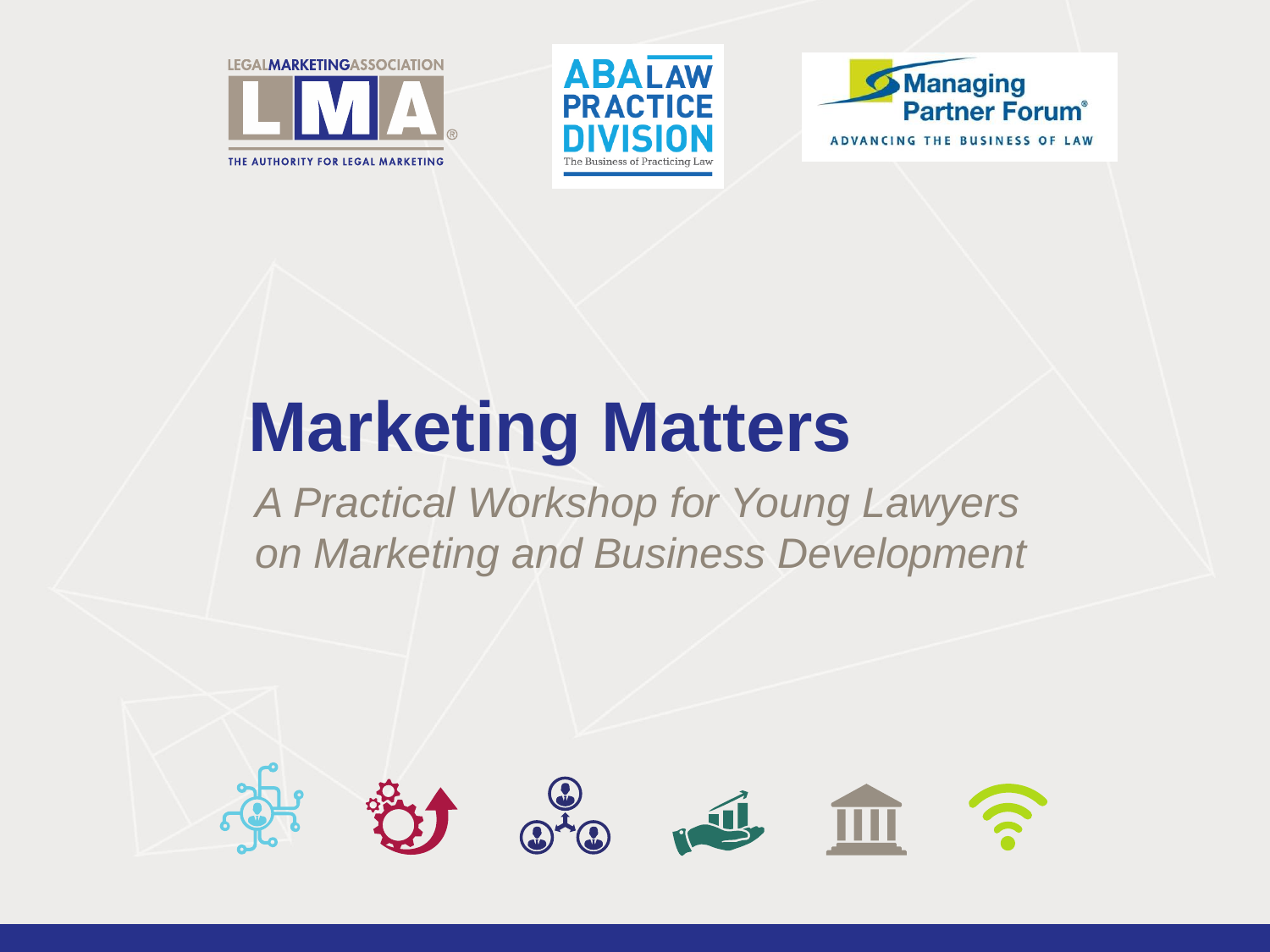





# **Marketing Matters**

*A Practical Workshop for Young Lawyers on Marketing and Business Development*

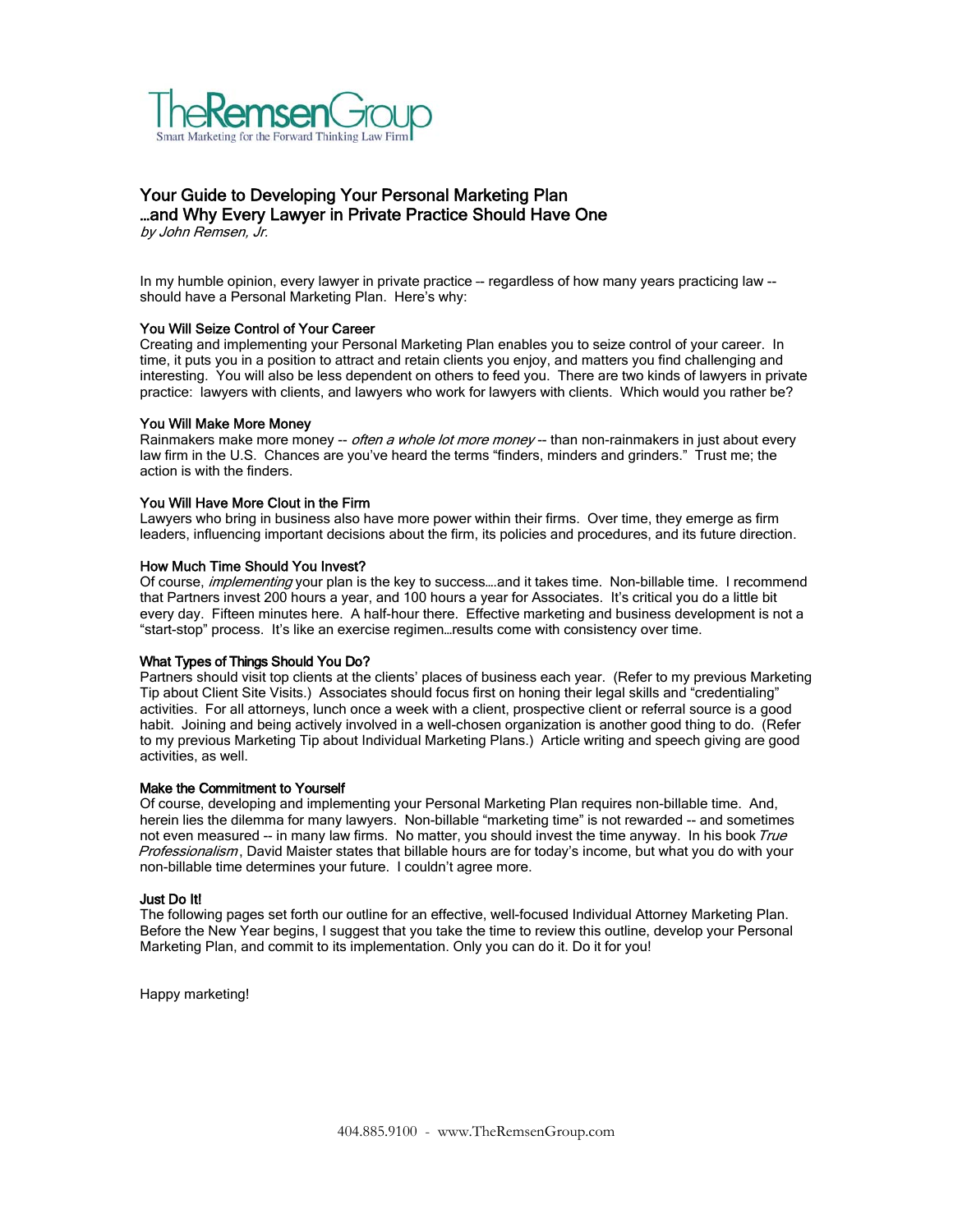

## Your Guide to Developing Your Personal Marketing Plan …and Why Every Lawyer in Private Practice Should Have One

by John Remsen, Jr.

In my humble opinion, every lawyer in private practice –- regardless of how many years practicing law - should have a Personal Marketing Plan. Here's why:

#### You Will Seize Control of Your Career

Creating and implementing your Personal Marketing Plan enables you to seize control of your career. In time, it puts you in a position to attract and retain clients you enjoy, and matters you find challenging and interesting. You will also be less dependent on others to feed you. There are two kinds of lawyers in private practice: lawyers with clients, and lawyers who work for lawyers with clients. Which would you rather be?

#### You Will Make More Money

Rainmakers make more money -- *often a whole lot more money* -- than non-rainmakers in just about every law firm in the U.S. Chances are you've heard the terms "finders, minders and grinders." Trust me; the action is with the finders.

#### You Will Have More Clout in the Firm

Lawyers who bring in business also have more power within their firms. Over time, they emerge as firm leaders, influencing important decisions about the firm, its policies and procedures, and its future direction.

#### How Much Time Should You Invest?

Of course, *implementing* your plan is the key to success....and it takes time. Non-billable time. I recommend that Partners invest 200 hours a year, and 100 hours a year for Associates. It's critical you do a little bit every day. Fifteen minutes here. A half-hour there. Effective marketing and business development is not a "start-stop" process. It's like an exercise regimen…results come with consistency over time.

#### What Types of Things Should You Do?

Partners should visit top clients at the clients' places of business each year. (Refer to my previous Marketing Tip about Client Site Visits.) Associates should focus first on honing their legal skills and "credentialing" activities. For all attorneys, lunch once a week with a client, prospective client or referral source is a good habit. Joining and being actively involved in a well-chosen organization is another good thing to do. (Refer to my previous Marketing Tip about Individual Marketing Plans.) Article writing and speech giving are good activities, as well.

#### Make the Commitment to Yourself

Of course, developing and implementing your Personal Marketing Plan requires non-billable time. And, herein lies the dilemma for many lawyers. Non-billable "marketing time" is not rewarded -- and sometimes not even measured -- in many law firms. No matter, you should invest the time anyway. In his book True Professionalism, David Maister states that billable hours are for today's income, but what you do with your non-billable time determines your future. I couldn't agree more.

#### Just Do It!

The following pages set forth our outline for an effective, well-focused Individual Attorney Marketing Plan. Before the New Year begins, I suggest that you take the time to review this outline, develop your Personal Marketing Plan, and commit to its implementation. Only you can do it. Do it for you!

Happy marketing!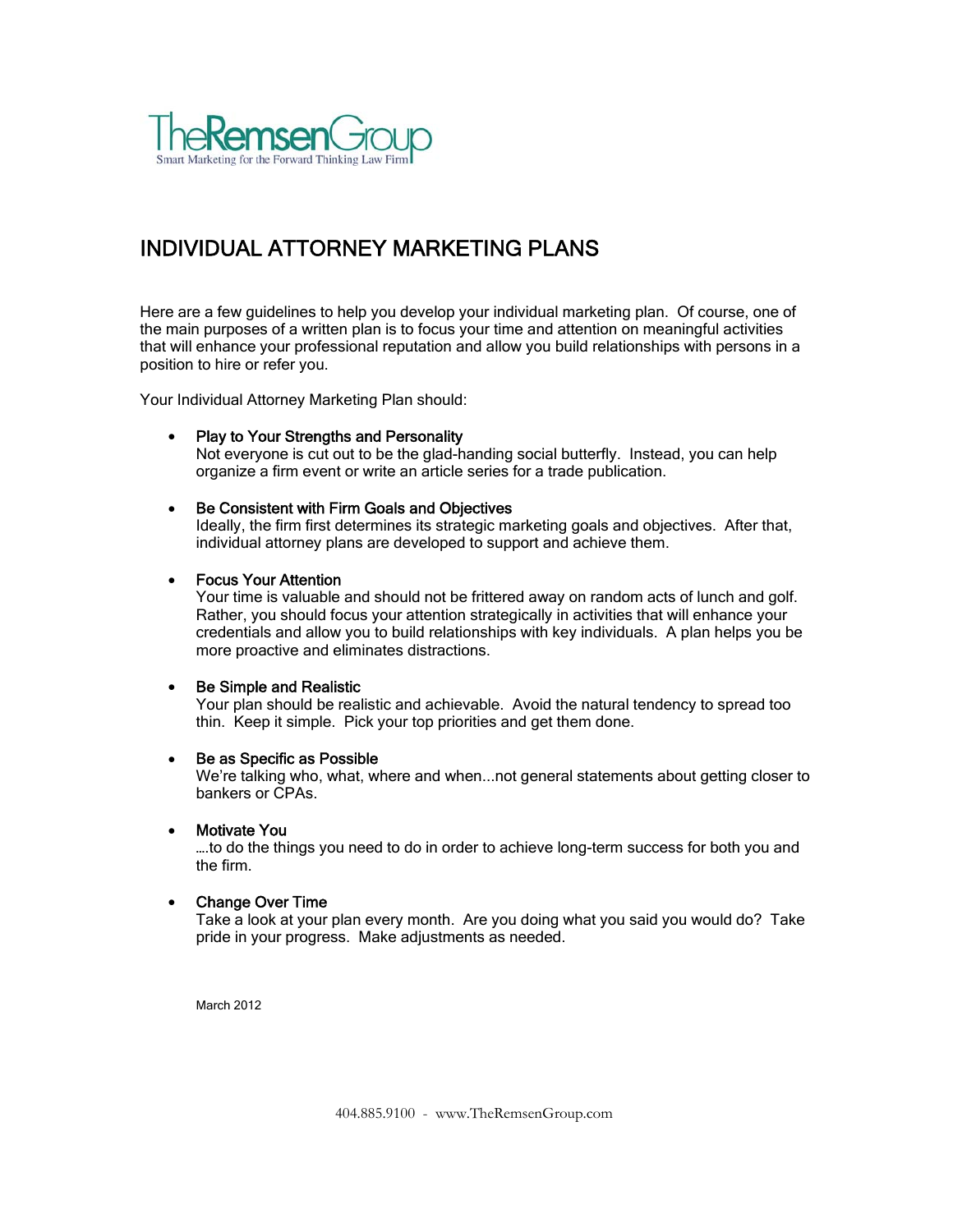

## INDIVIDUAL ATTORNEY MARKETING PLANS

Here are a few guidelines to help you develop your individual marketing plan. Of course, one of the main purposes of a written plan is to focus your time and attention on meaningful activities that will enhance your professional reputation and allow you build relationships with persons in a position to hire or refer you.

Your Individual Attorney Marketing Plan should:

#### • Play to Your Strengths and Personality

Not everyone is cut out to be the glad-handing social butterfly. Instead, you can help organize a firm event or write an article series for a trade publication.

#### • Be Consistent with Firm Goals and Objectives

Ideally, the firm first determines its strategic marketing goals and objectives. After that, individual attorney plans are developed to support and achieve them.

#### Focus Your Attention

Your time is valuable and should not be frittered away on random acts of lunch and golf. Rather, you should focus your attention strategically in activities that will enhance your credentials and allow you to build relationships with key individuals. A plan helps you be more proactive and eliminates distractions.

#### Be Simple and Realistic

Your plan should be realistic and achievable. Avoid the natural tendency to spread too thin. Keep it simple. Pick your top priorities and get them done.

#### Be as Specific as Possible

We're talking who, what, where and when...not general statements about getting closer to bankers or CPAs.

#### Motivate You

….to do the things you need to do in order to achieve long-term success for both you and the firm.

#### Change Over Time

Take a look at your plan every month. Are you doing what you said you would do? Take pride in your progress. Make adjustments as needed.

March 2012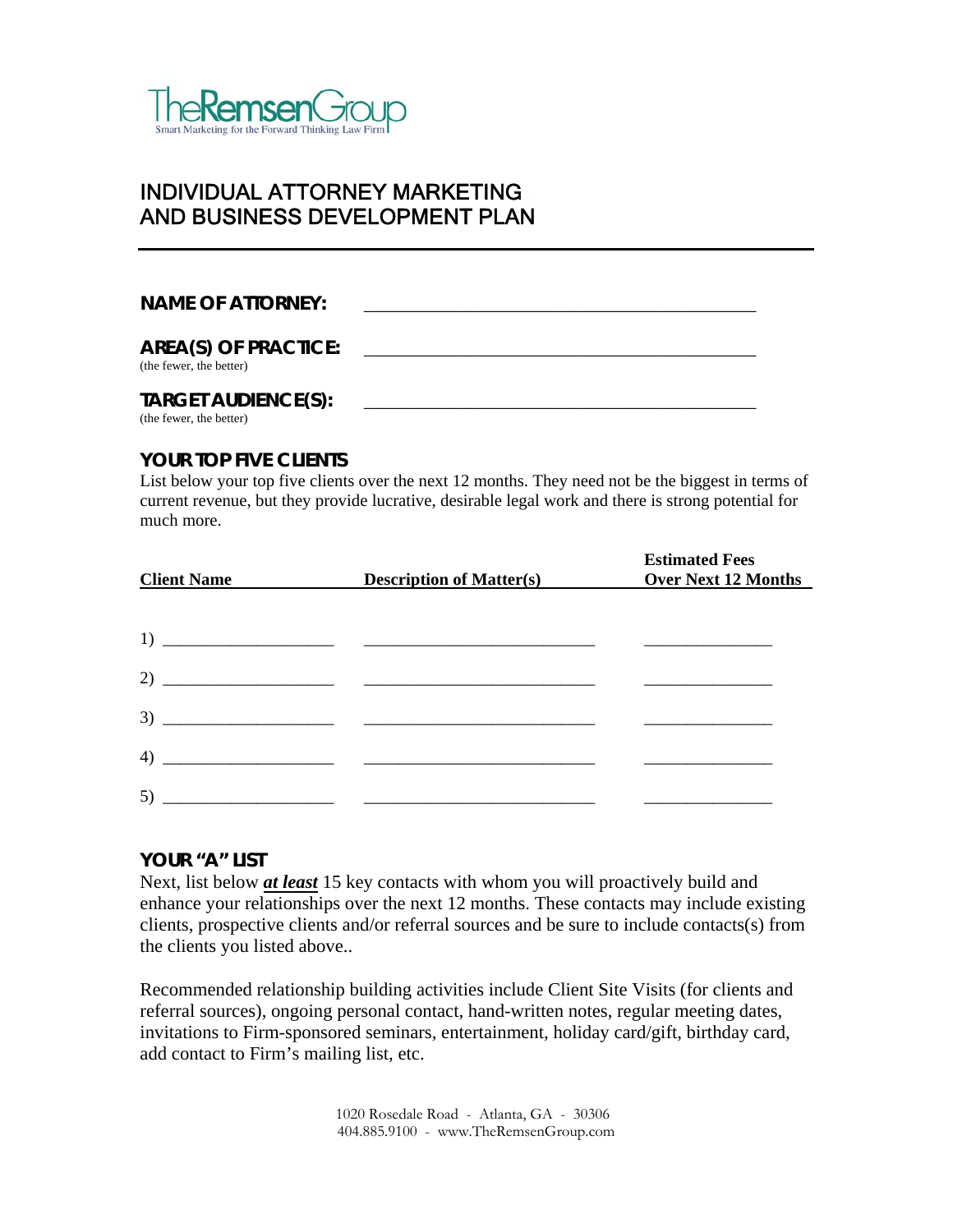

## INDIVIDUAL ATTORNEY MARKETING AND BUSINESS DEVELOPMENT PLAN

## NAME OF ATTORNEY:

## AREA(S) OF PRACTICE:

(the fewer, the better)

## **TARGET AUDIENCE(S):** \_\_\_\_\_\_\_\_\_\_\_\_\_\_\_\_\_\_\_\_\_\_\_\_\_\_\_\_\_\_\_\_\_\_\_\_\_\_\_\_\_\_

(the fewer, the better)

## **YOUR TOP FIVE CLIENTS**

List below your top five clients over the next 12 months. They need not be the biggest in terms of current revenue, but they provide lucrative, desirable legal work and there is strong potential for much more.

| <b>Client Name</b> | <b>Description of Matter(s)</b> | <b>Estimated Fees</b><br><b>Over Next 12 Months</b> |
|--------------------|---------------------------------|-----------------------------------------------------|
|                    |                                 |                                                     |
| 1)                 |                                 |                                                     |
|                    | 2) $\overline{\phantom{a}}$     |                                                     |
|                    |                                 |                                                     |
| 4)                 |                                 |                                                     |
| 5)                 |                                 |                                                     |

## **YOUR "A" LIST**

Next, list below *at least* 15 key contacts with whom you will proactively build and enhance your relationships over the next 12 months. These contacts may include existing clients, prospective clients and/or referral sources and be sure to include contacts(s) from the clients you listed above..

Recommended relationship building activities include Client Site Visits (for clients and referral sources), ongoing personal contact, hand-written notes, regular meeting dates, invitations to Firm-sponsored seminars, entertainment, holiday card/gift, birthday card, add contact to Firm's mailing list, etc.

> 1020 Rosedale Road - Atlanta, GA - 30306 404.885.9100 - www.TheRemsenGroup.com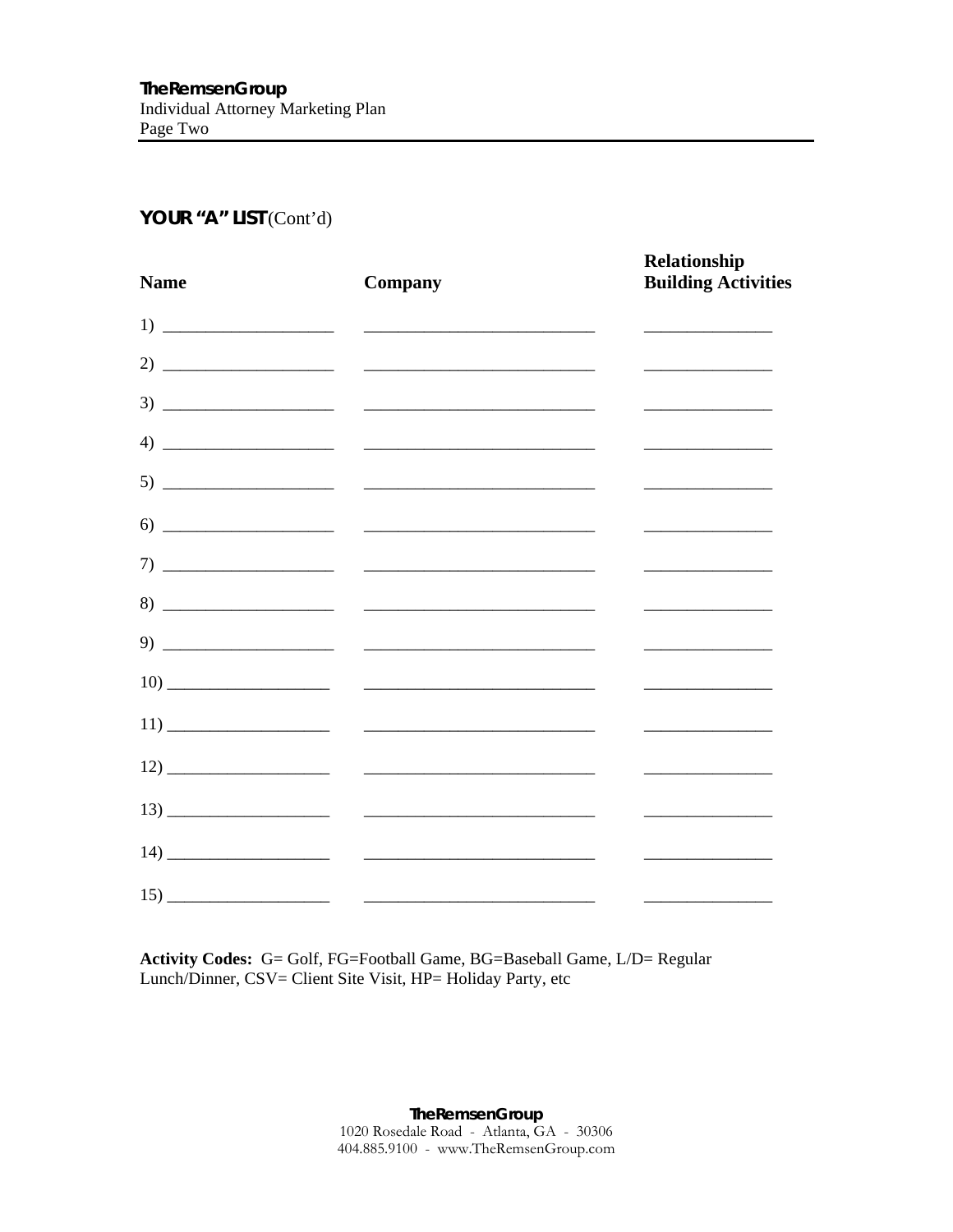## YOUR "A" LIST (Cont'd)

| <b>Name</b> | Company                                                                                                                                                                                                                                                                                                                                                                                                                                                                                                                                                                              | Relationship<br><b>Building Activities</b>                            |
|-------------|--------------------------------------------------------------------------------------------------------------------------------------------------------------------------------------------------------------------------------------------------------------------------------------------------------------------------------------------------------------------------------------------------------------------------------------------------------------------------------------------------------------------------------------------------------------------------------------|-----------------------------------------------------------------------|
|             |                                                                                                                                                                                                                                                                                                                                                                                                                                                                                                                                                                                      | <u> 1989 - Johann Barbara, martin a</u>                               |
|             | 2) $\overline{\phantom{a}}$ $\overline{\phantom{a}}$ $\overline{\phantom{a}}$ $\overline{\phantom{a}}$ $\overline{\phantom{a}}$ $\overline{\phantom{a}}$ $\overline{\phantom{a}}$ $\overline{\phantom{a}}$ $\overline{\phantom{a}}$ $\overline{\phantom{a}}$ $\overline{\phantom{a}}$ $\overline{\phantom{a}}$ $\overline{\phantom{a}}$ $\overline{\phantom{a}}$ $\overline{\phantom{a}}$ $\overline{\phantom{a}}$ $\overline{\phantom{a}}$ $\overline{\phantom{a}}$ $\$                                                                                                             | <u> 1989 - Johann Barn, mars an t-Amerikaansk ferstjer op de oars</u> |
|             |                                                                                                                                                                                                                                                                                                                                                                                                                                                                                                                                                                                      |                                                                       |
|             |                                                                                                                                                                                                                                                                                                                                                                                                                                                                                                                                                                                      | ______________________________                                        |
|             |                                                                                                                                                                                                                                                                                                                                                                                                                                                                                                                                                                                      |                                                                       |
|             | $\begin{tabular}{c} 6) \end{tabular} \begin{tabular}{@{}c@{}} \hline \multicolumn{3}{c}{} & \multicolumn{3}{c}{} & \multicolumn{3}{c}{} & \multicolumn{3}{c}{} \\ \hline \multicolumn{3}{c}{} & \multicolumn{3}{c}{} & \multicolumn{3}{c}{} & \multicolumn{3}{c}{} \\ \hline \multicolumn{3}{c}{} & \multicolumn{3}{c}{} & \multicolumn{3}{c}{} & \multicolumn{3}{c}{} \\ \hline \multicolumn{3}{c}{} & \multicolumn{3}{c}{} & \multicolumn{3}{c}{} \\ \hline \multicolumn{3}{c}{} &$                                                                                                | <u>experience</u> and the control of the control of                   |
|             |                                                                                                                                                                                                                                                                                                                                                                                                                                                                                                                                                                                      |                                                                       |
|             | $8) \begin{tabular}{ccc} \multicolumn{2}{c} {\textbf{5.5}} & \multicolumn{2}{c} {\textbf{5.5}} \\ \multicolumn{2}{c} {\textbf{6.5}} & \multicolumn{2}{c} {\textbf{6.5}} \\ \multicolumn{2}{c} {\textbf{6.5}} & \multicolumn{2}{c} {\textbf{6.5}} \\ \multicolumn{2}{c} {\textbf{6.5}} & \multicolumn{2}{c} {\textbf{6.5}} \\ \multicolumn{2}{c} {\textbf{6.5}} & \multicolumn{2}{c} {\textbf{6.5}} \\ \multicolumn{2}{c} {\textbf{6.5}} & \multicolumn{2}{c} {\textbf$                                                                                                               |                                                                       |
|             | $\begin{tabular}{c} 9) \end{tabular}$                                                                                                                                                                                                                                                                                                                                                                                                                                                                                                                                                |                                                                       |
|             |                                                                                                                                                                                                                                                                                                                                                                                                                                                                                                                                                                                      |                                                                       |
|             |                                                                                                                                                                                                                                                                                                                                                                                                                                                                                                                                                                                      |                                                                       |
|             | $12) \underline{\hspace{2cm} \underline{\hspace{2cm}}\hspace{2cm} } \underline{\hspace{2cm} } \underline{\hspace{2cm} } \underline{\hspace{2cm}}\hspace{2cm} } \underline{\hspace{2cm} } \underline{\hspace{2cm} } \underline{\hspace{2cm} } \underline{\hspace{2cm} } \underline{\hspace{2cm} } \underline{\hspace{2cm} } \underline{\hspace{2cm} } \underline{\hspace{2cm} } \underline{\hspace{2cm} } \underline{\hspace{2cm} } \underline{\hspace{2cm} } \underline{\hspace{2cm} } \underline{\hspace{2cm} } \underline{\hspace{2cm} } \underline{\hspace{2cm} } \underline{\hs$ |                                                                       |
|             | $\frac{13}{2}$                                                                                                                                                                                                                                                                                                                                                                                                                                                                                                                                                                       | <u> 1989 - Johann Barbara, martxa al</u>                              |
|             |                                                                                                                                                                                                                                                                                                                                                                                                                                                                                                                                                                                      |                                                                       |
|             | $\frac{15}{2}$                                                                                                                                                                                                                                                                                                                                                                                                                                                                                                                                                                       |                                                                       |

Activity Codes: G= Golf, FG=Football Game, BG=Baseball Game, L/D= Regular Lunch/Dinner, CSV= Client Site Visit, HP= Holiday Party, etc

> TheRemsenGroup 1020 Rosedale Road - Atlanta, GA - 30306<br>404.885.9100 - www.TheRemsenGroup.com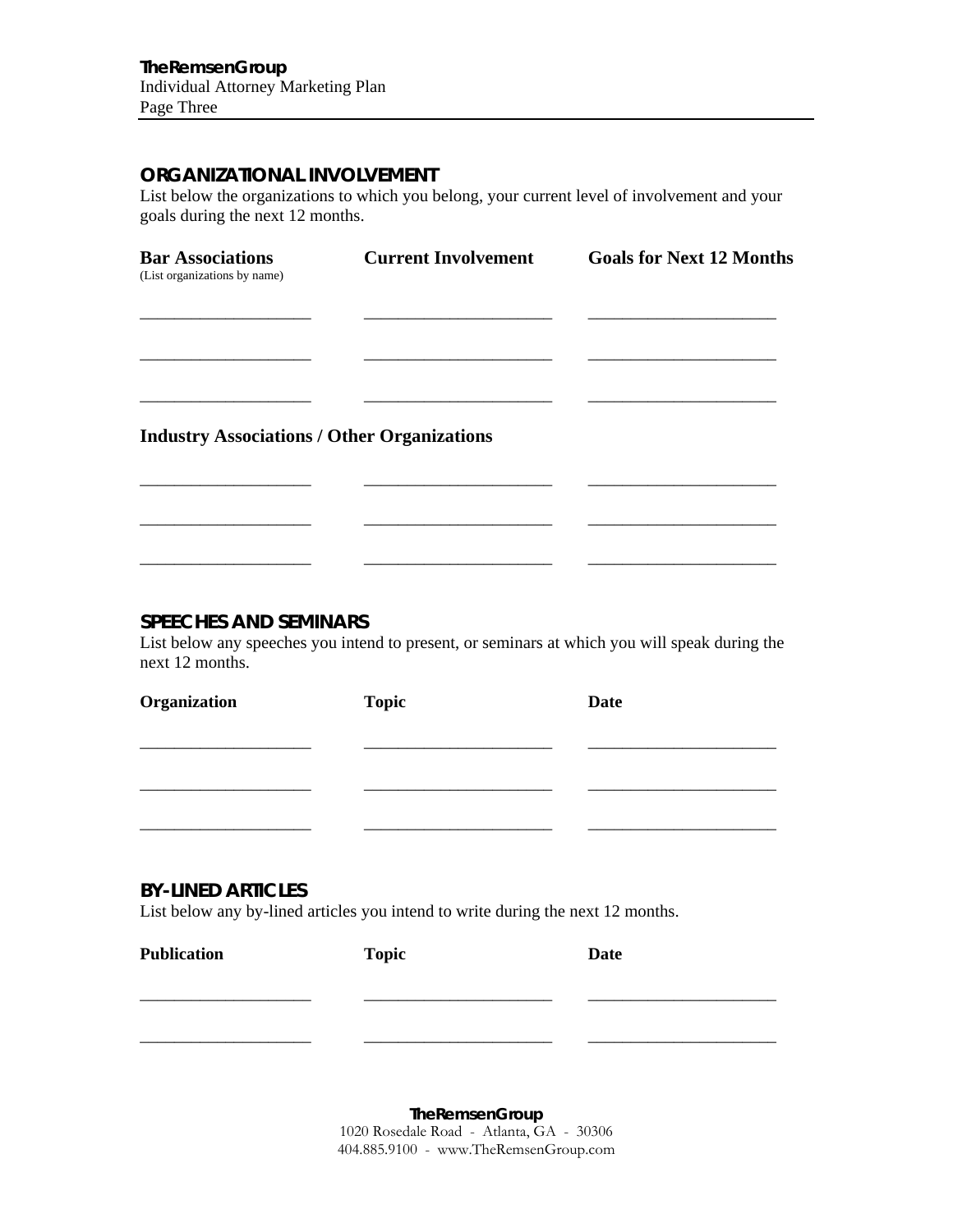## **ORGANIZATIONAL INVOLVEMENT**

List below the organizations to which you belong, your current level of involvement and your goals during the next 12 months.

| <b>Bar Associations</b><br>(List organizations by name) | <b>Current Involvement</b> | <b>Goals for Next 12 Months</b> |
|---------------------------------------------------------|----------------------------|---------------------------------|
|                                                         |                            |                                 |
|                                                         |                            |                                 |
| <b>Industry Associations / Other Organizations</b>      |                            |                                 |
|                                                         |                            |                                 |
|                                                         |                            |                                 |

## **SPEECHES AND SEMINARS**

List below any speeches you intend to present, or seminars at which you will speak during the next 12 months.

| Organization | <b>Topic</b> | <b>Date</b> |
|--------------|--------------|-------------|
|              |              |             |
|              |              |             |
|              |              |             |
|              |              |             |

## **BY-LINED ARTICLES**

List below any by-lined articles you intend to write during the next 12 months.

| <b>Publication</b> | <b>Topic</b> | <b>Date</b> |
|--------------------|--------------|-------------|
|                    |              |             |
|                    |              |             |

**TheRemsenGroup**  1020 Rosedale Road - Atlanta, GA - 30306 404.885.9100 - www.TheRemsenGroup.com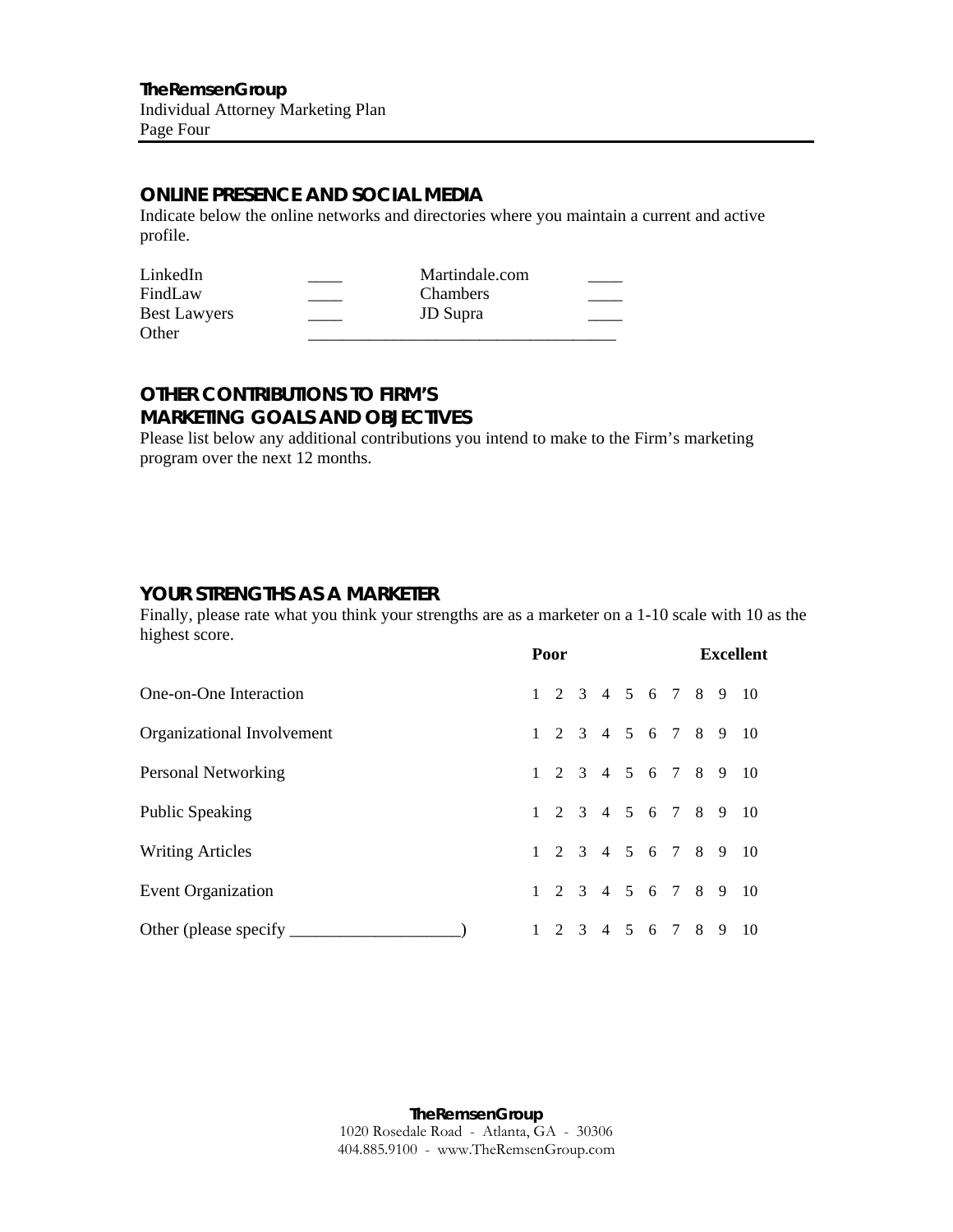## **ONLINE PRESENCE AND SOCIAL MEDIA**

Indicate below the online networks and directories where you maintain a current and active profile.

| LinkedIn            | Martindale.com  |  |
|---------------------|-----------------|--|
| FindLaw             | <b>Chambers</b> |  |
| <b>Best Lawyers</b> | <b>JD</b> Supra |  |
| Other               |                 |  |

## **OTHER CONTRIBUTIONS TO FIRM'S MARKETING GOALS AND OBJECTIVES**

Please list below any additional contributions you intend to make to the Firm's marketing program over the next 12 months.

## **YOUR STRENGTHS AS A MARKETER**

Finally, please rate what you think your strengths are as a marketer on a 1-10 scale with 10 as the highest score.

|                              | Poor |  |  |                   |  | <b>Excellent</b>     |
|------------------------------|------|--|--|-------------------|--|----------------------|
| One-on-One Interaction       |      |  |  |                   |  | 1 2 3 4 5 6 7 8 9 10 |
| Organizational Involvement   |      |  |  |                   |  | 1 2 3 4 5 6 7 8 9 10 |
| Personal Networking          |      |  |  |                   |  | 1 2 3 4 5 6 7 8 9 10 |
| <b>Public Speaking</b>       |      |  |  |                   |  | 1 2 3 4 5 6 7 8 9 10 |
| <b>Writing Articles</b>      |      |  |  |                   |  | 1 2 3 4 5 6 7 8 9 10 |
| Event Organization           |      |  |  |                   |  | 1 2 3 4 5 6 7 8 9 10 |
| Other (please specify ______ |      |  |  | 1 2 3 4 5 6 7 8 9 |  | - 10                 |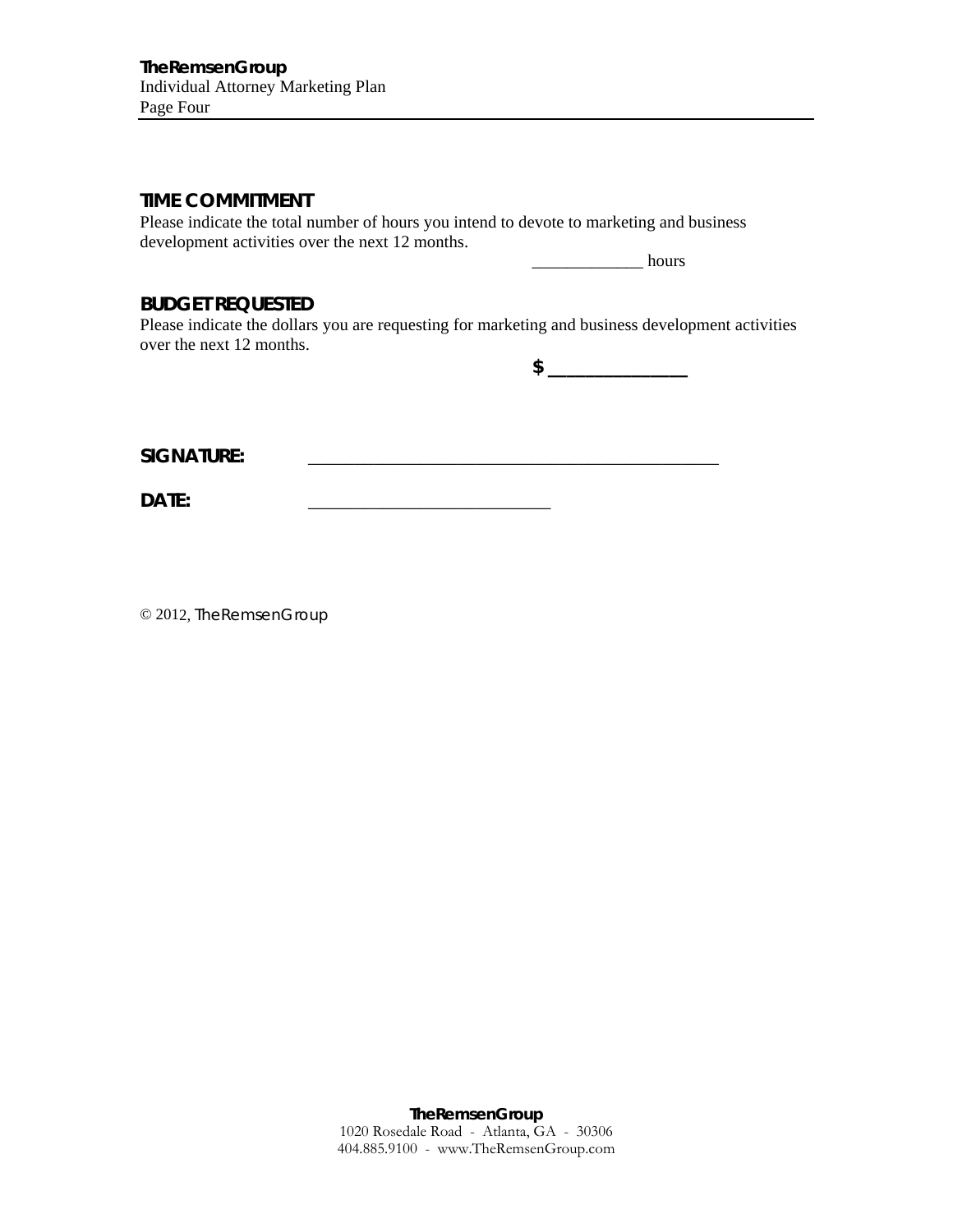## **TIME COMMITMENT**

Please indicate the total number of hours you intend to devote to marketing and business development activities over the next 12 months.

 $\frac{1}{2}$  hours

## **BUDGET REQUESTED**

Please indicate the dollars you are requesting for marketing and business development activities over the next 12 months.

**\$ \_\_\_\_\_\_\_\_\_\_\_\_\_\_\_** 

**SIGNATURE:** \_\_\_\_\_\_\_\_\_\_\_\_\_\_\_\_\_\_\_\_\_\_\_\_\_\_\_\_\_\_\_\_\_\_\_\_\_\_\_\_\_\_\_\_

DATE:

© 2012, TheRemsenGroup

**TheRemsenGroup**  1020 Rosedale Road - Atlanta, GA - 30306 404.885.9100 - www.TheRemsenGroup.com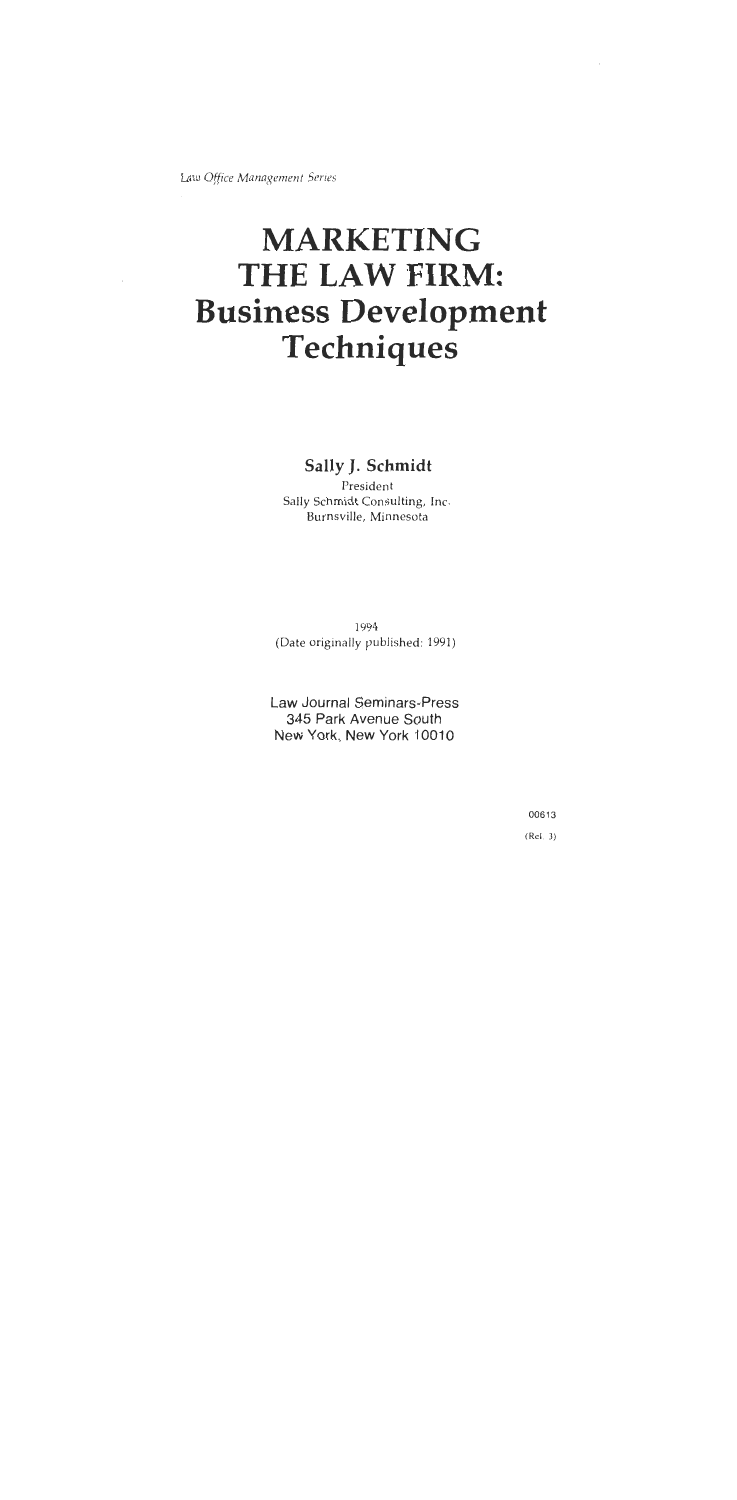Law Office Management Series

## **MARKETING** THE LAW FIRM: **Business Development** Techniques

Sally J. Schmidt

President Sally Schmidt Consulting, Inc. Burnsville, Minnesota

1994 (Date originally published: 1991)

Law Journal Seminars-Press 345 Park Avenue South New York, New York 10010

> 00613  $(Rel. 3)$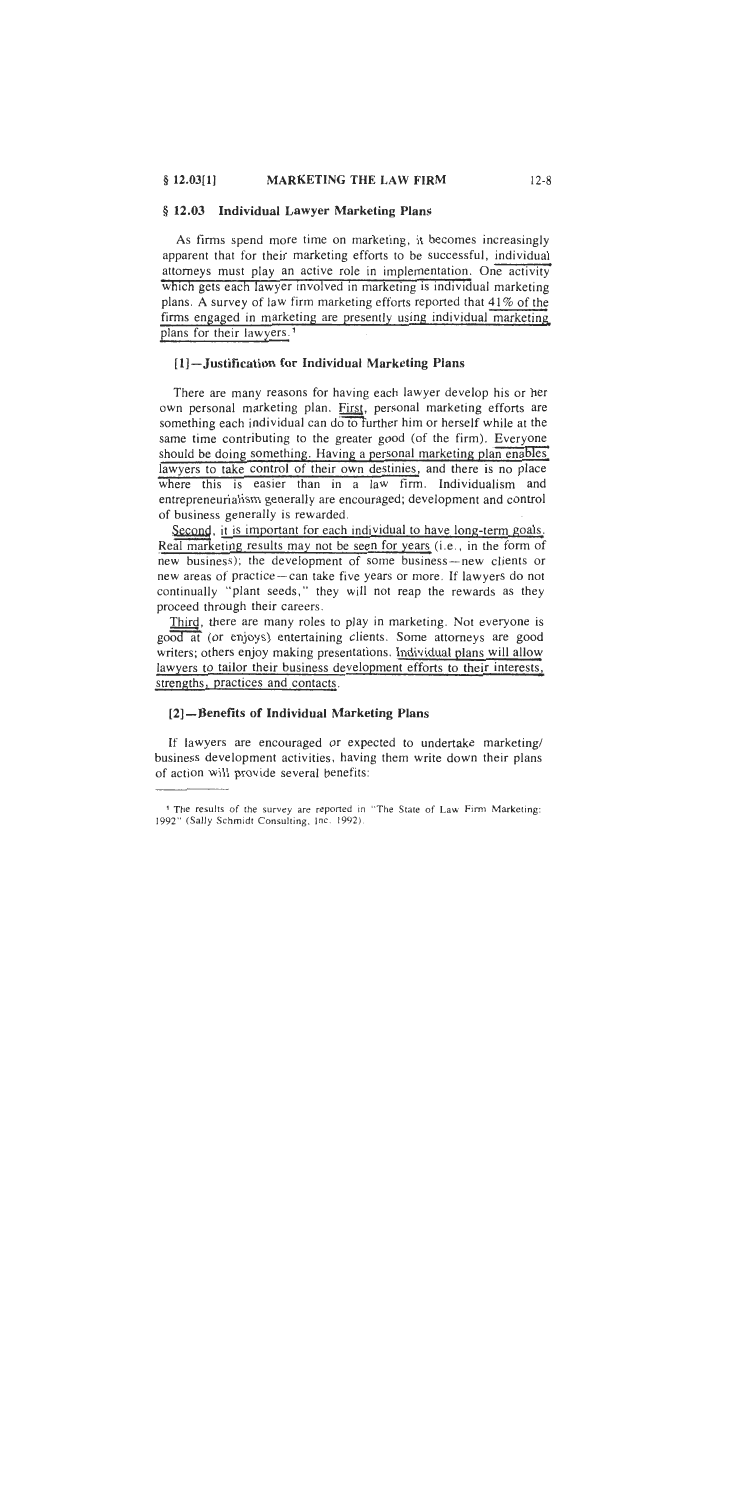#### § 12.03 Individual Lawyer Marketing Plans

As firms spend more time on marketing, it becomes increasingly apparent that for their marketing efforts to be successful, individual attorneys must play an active role in implementation. One activity which gets each lawyer involved in marketing is individual marketing plans. A survey of law firm marketing efforts reported that 41% of the firms engaged in marketing are presently using individual marketing plans for their lawyers.<sup>1</sup>

#### [1]-Justification for Individual Marketing Plans

There are many reasons for having each lawyer develop his or her own personal marketing plan. First, personal marketing efforts are something each individual can do to further him or herself while at the same time contributing to the greater good (of the firm). Everyone should be doing something. Having a personal marketing plan enables lawyers to take control of their own destinies, and there is no place where this is easier than in a law firm. Individualism and entrepreneurialism generally are encouraged; development and control of business generally is rewarded.

Second, it is important for each individual to have long-term goals. Real marketing results may not be seen for years (i.e., in the form of new business); the development of some business—new clients or new areas of practice – can take five years or more. If lawyers do not continually "plant seeds," they will not reap the rewards as they proceed through their careers.

Third, there are many roles to play in marketing. Not everyone is good at (or enjoys) entertaining clients. Some attorneys are good writers; others enjoy making presentations. Individual plans will allow lawyers to tailor their business development efforts to their interests, strengths, practices and contacts.

#### [2]-Benefits of Individual Marketing Plans

If lawyers are encouraged or expected to undertake marketing/ business development activities, having them write down their plans of action will provide several benefits:

<sup>&</sup>lt;sup>1</sup> The results of the survey are reported in "The State of Law Firm Marketing: 1992" (Sally Schmidt Consulting, Inc. 1992).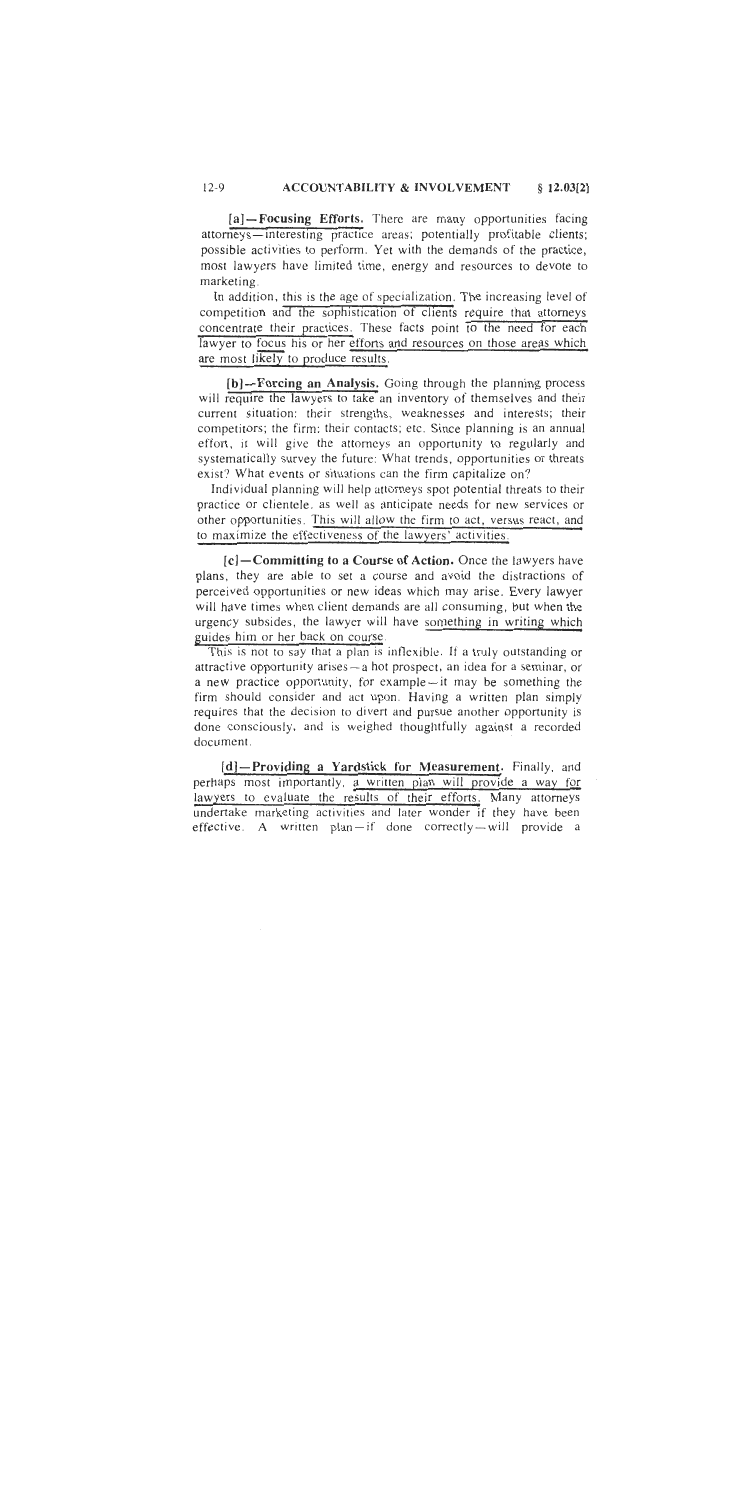#### **ACCOUNTABILITY & INVOLVEMENT**  $12-9$  $$12.03[2]$

[a]-Focusing Efforts. There are many opportunities facing attorneys—interesting practice areas; potentially profitable clients; possible activities to perform. Yet with the demands of the practice, most lawyers have limited time, energy and resources to devote to marketing.

In addition, this is the age of specialization. The increasing level of competition and the sophistication of clients require that attorneys concentrate their practices. These facts point to the need for each lawyer to focus his or her efforts and resources on those areas which are most likely to produce results.

[b]-Forcing an Analysis. Going through the planning process will require the lawyers to take an inventory of themselves and their current situation: their strengths, weaknesses and interests; their competitors; the firm; their contacts; etc. Since planning is an annual effort, it will give the attorneys an opportunity to regularly and systematically survey the future: What trends, opportunities or threats exist? What events or situations can the firm capitalize on?

Individual planning will help attorneys spot potential threats to their practice or clientele, as well as anticipate needs for new services or other opportunities. This will allow the firm to act, versus react, and to maximize the effectiveness of the lawyers' activities.

 $[c]$  – Committing to a Course of Action. Once the lawyers have plans, they are able to set a course and avoid the distractions of perceived opportunities or new ideas which may arise. Every lawyer will have times when client demands are all consuming, but when the urgency subsides, the lawyer will have something in writing which guides him or her back on course.

This is not to say that a plan is inflexible. If a truly outstanding or attractive opportunity arises - a hot prospect, an idea for a seminar, or a new practice opportunity, for example -- it may be something the firm should consider and act upon. Having a written plan simply requires that the decision to divert and pursue another opportunity is done consciously, and is weighed thoughtfully against a recorded document.

[d]-Providing a Yardstick for Measurement. Finally, and perhaps most importantly, a written plan will provide a way for lawyers to evaluate the results of their efforts. Many attorneys undertake marketing activities and later wonder if they have been effective. A written plan-if done correctly-will provide a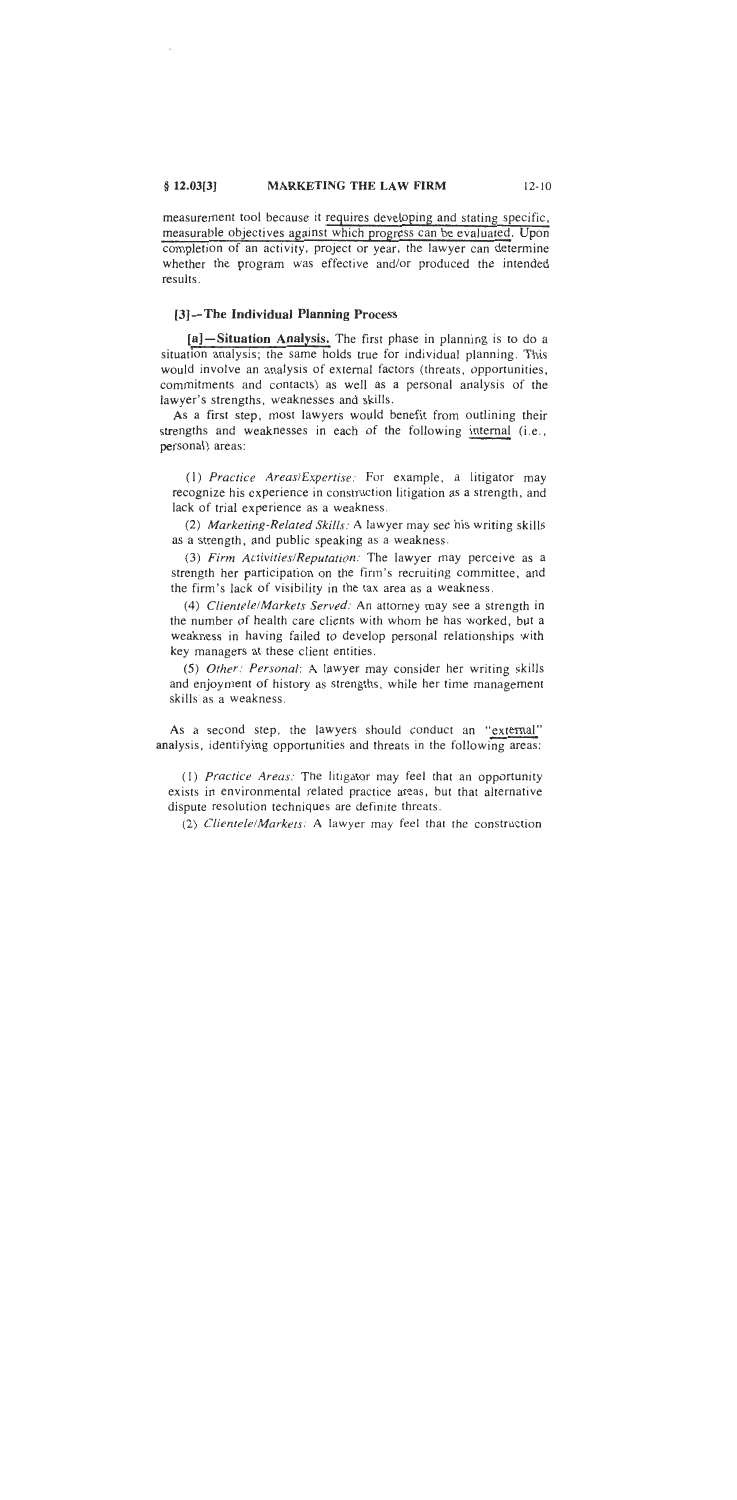#### $$12.03[3]$ **MARKETING THE LAW FIRM**  $12 - 10$

measurement tool because it requires developing and stating specific, measurable objectives against which progress can be evaluated. Upon completion of an activity, project or year, the lawyer can determine whether the program was effective and/or produced the intended results.

#### [3]-The Individual Planning Process

[a]-Situation Analysis. The first phase in planning is to do a situation analysis; the same holds true for individual planning. This would involve an analysis of external factors (threats, opportunities, commitments and contacts) as well as a personal analysis of the lawyer's strengths, weaknesses and skills.

As a first step, most lawyers would benefit from outlining their strengths and weaknesses in each of the following internal (i.e., personal) areas:

(1) Practice Areas/Expertise: For example, a litigator may recognize his experience in construction litigation as a strength, and lack of trial experience as a weakness.

(2) Marketing-Related Skills: A lawyer may see his writing skills as a strength, and public speaking as a weakness.

(3) Firm Activities/Reputation: The lawyer may perceive as a strength her participation on the firm's recruiting committee, and the firm's lack of visibility in the tax area as a weakness.

(4) Clientele/Markets Served: An attorney may see a strength in the number of health care clients with whom he has worked, but a weakness in having failed to develop personal relationships with key managers at these client entities.

(5) Other: Personal: A lawyer may consider her writing skills and enjoyment of history as strengths, while her time management skills as a weakness.

As a second step, the lawyers should conduct an "external" analysis, identifying opportunities and threats in the following areas:

(1) Practice Areas: The litigator may feel that an opportunity exists in environmental related practice areas, but that alternative dispute resolution techniques are definite threats.

(2) Clientele/Markets: A lawyer may feel that the construction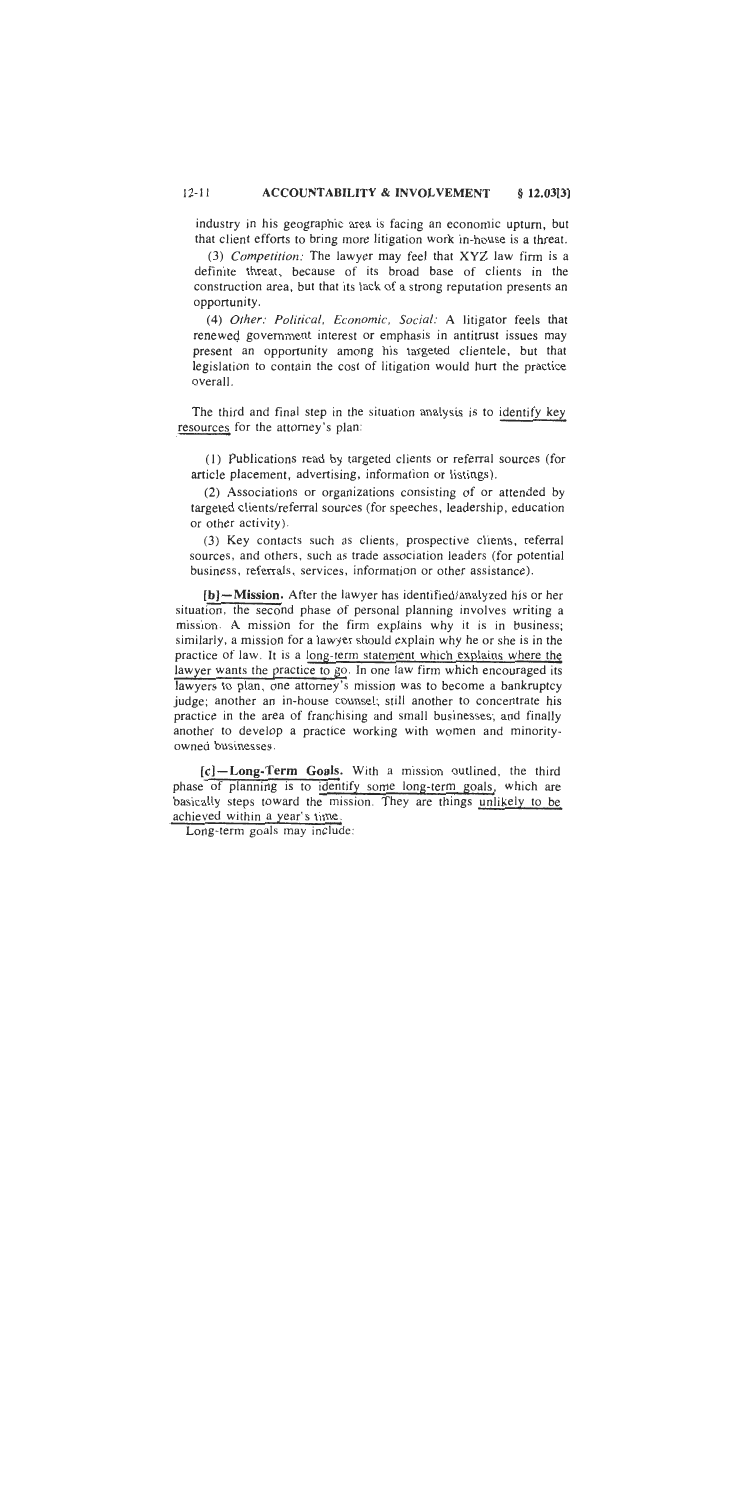#### $12 - 11$ **ACCOUNTABILITY & INVOLVEMENT**  $$12.03[3]$

industry in his geographic area is facing an economic upturn, but that client efforts to bring more litigation work in-house is a threat.

(3) Competition: The lawyer may feel that XYZ law firm is a definite threat, because of its broad base of clients in the construction area, but that its lack of a strong reputation presents an opportunity.

(4) Other: Political, Economic, Social: A litigator feels that renewed government interest or emphasis in antitrust issues may present an opportunity among his targeted clientele, but that legislation to contain the cost of litigation would hurt the practice overall.

The third and final step in the situation analysis is to identify key resources for the attorney's plan:

(1) Publications read by targeted clients or referral sources (for article placement, advertising, information or listings).

(2) Associations or organizations consisting of or attended by targeted clients/referral sources (for speeches, leadership, education or other activity).

(3) Key contacts such as clients, prospective clients, referral sources, and others, such as trade association leaders (for potential business, referrals, services, information or other assistance).

[b]-Mission. After the lawyer has identified/analyzed his or her situation, the second phase of personal planning involves writing a mission. A mission for the firm explains why it is in business; similarly, a mission for a lawyer should explain why he or she is in the practice of law. It is a long-term statement which explains where the lawyer wants the practice to go. In one law firm which encouraged its lawyers to plan, one attorney's mission was to become a bankruptcy judge; another an in-house counsel; still another to concentrate his practice in the area of franchising and small businesses; and finally another to develop a practice working with women and minorityowned businesses.

[c]-Long-Term Goals. With a mission outlined, the third phase of planning is to identify some long-term goals, which are basically steps toward the mission. They are things unlikely to be achieved within a year's time.

Long-term goals may include: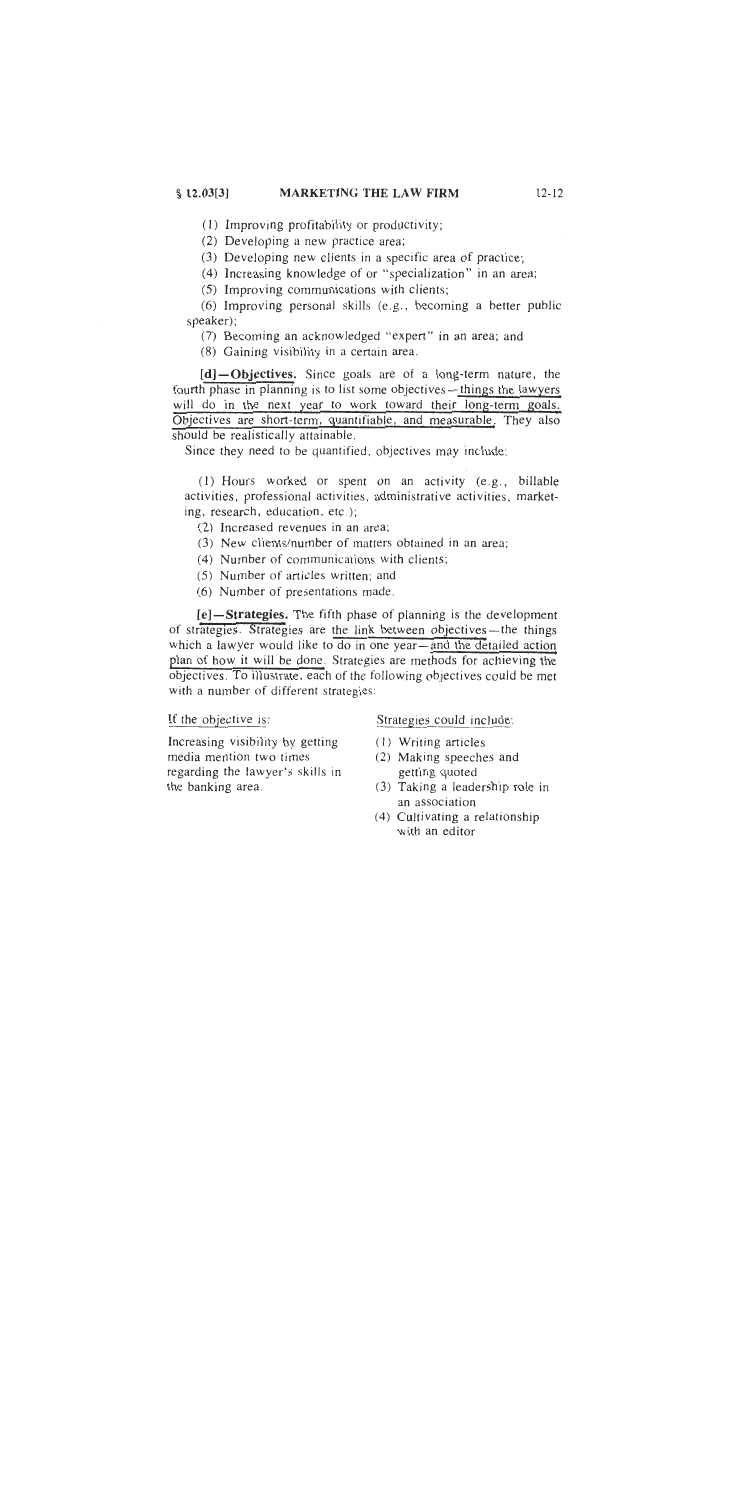#### $$12.03[3]$ **MARKETING THE LAW FIRM**

 $12 - 12$ 

(1) Improving profitability or productivity;

(2) Developing a new practice area;

(3) Developing new clients in a specific area of practice;

(4) Increasing knowledge of or "specialization" in an area;

(5) Improving communications with clients;

(6) Improving personal skills (e.g., becoming a better public speaker):

(7) Becoming an acknowledged "expert" in an area; and

(8) Gaining visibility in a certain area.

[d]-Objectives. Since goals are of a long-term nature, the fourth phase in planning is to list some objectives—things the lawyers will do in the next year to work toward their long-term goals. Objectives are short-term, quantifiable, and measurable. They also should be realistically attainable.

Since they need to be quantified, objectives may include:

(1) Hours worked or spent on an activity (e.g., billable activities, professional activities, administrative activities, marketing, research, education, etc.);

(2) Increased revenues in an area;

- (3) New clients/number of matters obtained in an area;
- (4) Number of communications with clients;
- (5) Number of articles written; and
- (6) Number of presentations made.

[e]-Strategies. The fifth phase of planning is the development of strategies. Strategies are the link between objectives—the things which a lawyer would like to do in one year—and the detailed action plan of how it will be done. Strategies are methods for achieving the objectives. To illustrate, each of the following objectives could be met with a number of different strategies:

If the objective is:

Increasing visibility by getting media mention two times regarding the lawyer's skills in the banking area.

#### Strategies could include:

- (1) Writing articles
- (2) Making speeches and getting quoted
- (3) Taking a leadership role in an association
- (4) Cultivating a relationship with an editor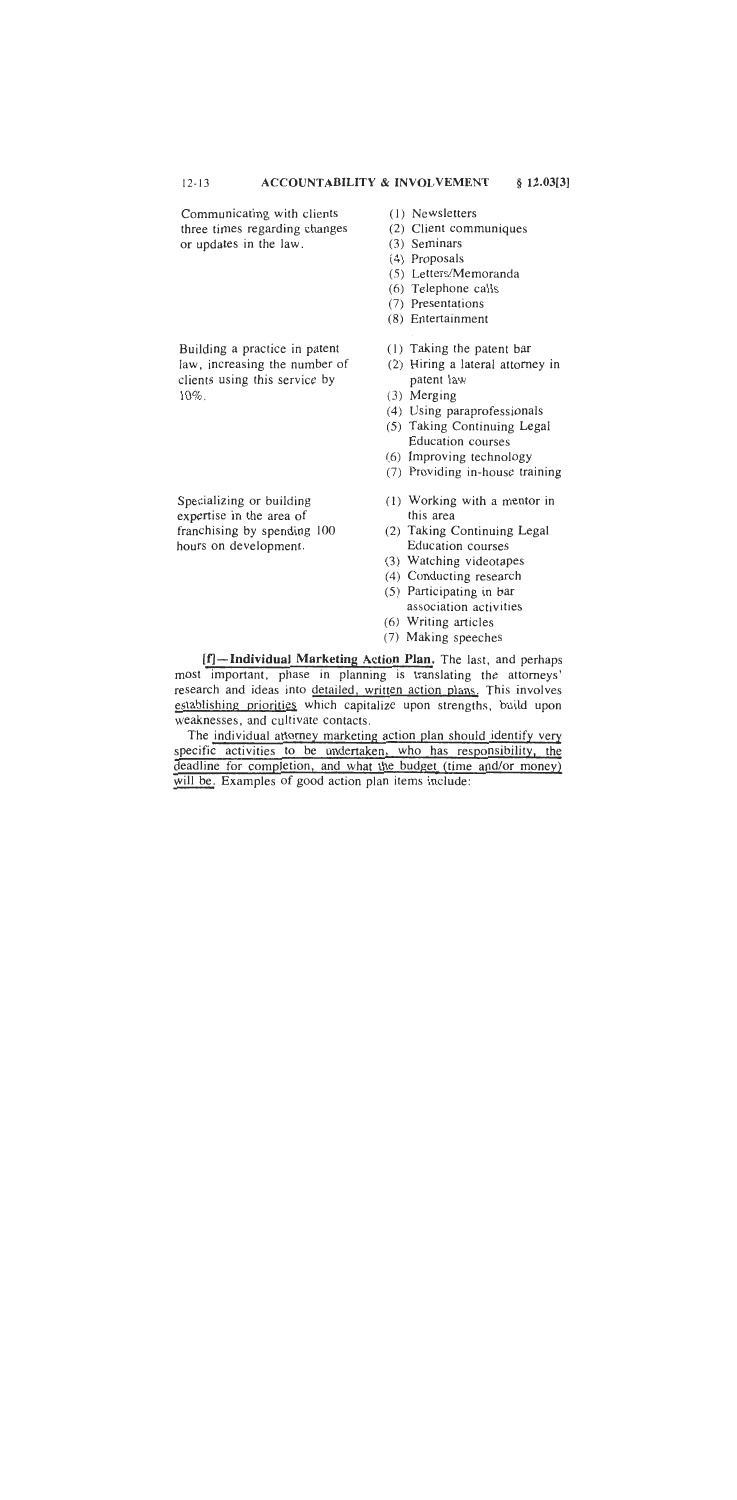#### $12 - 13$ **ACCOUNTABILITY & INVOLVEMENT**  $§$  12.03[3]

Communicating with clients three times regarding changes or updates in the law.

Building a practice in patent law, increasing the number of clients using this service by  $10\%$ .

Specializing or building expertise in the area of franchising by spending 100 hours on development.

- (1) Newsletters
- (2) Client communiques
- (3) Seminars
- $(4)$  Proposals
- (5) Letters/Memoranda
- (6) Telephone calls
- (7) Presentations
- (8) Entertainment
- (1) Taking the patent bar
- (2) Hiring a lateral attorney in patent law
- $(3)$  Merging
- (4) Using paraprofessionals
- (5) Taking Continuing Legal **Education** courses
- (6) Improving technology
- (7) Providing in-house training
- (1) Working with a mentor in this area
- (2) Taking Continuing Legal **Education** courses
- (3) Watching videotapes
- (4) Conducting research
- (5) Participating in bar association activities
- (6) Writing articles
- (7) Making speeches

[f]-Individual Marketing Action Plan, The last, and perhaps most important, phase in planning is translating the attorneys' research and ideas into detailed, written action plans. This involves establishing priorities which capitalize upon strengths, build upon weaknesses, and cultivate contacts.

The individual attorney marketing action plan should identify very specific activities to be undertaken, who has responsibility, the deadline for completion, and what the budget (time and/or money) will be. Examples of good action plan items include: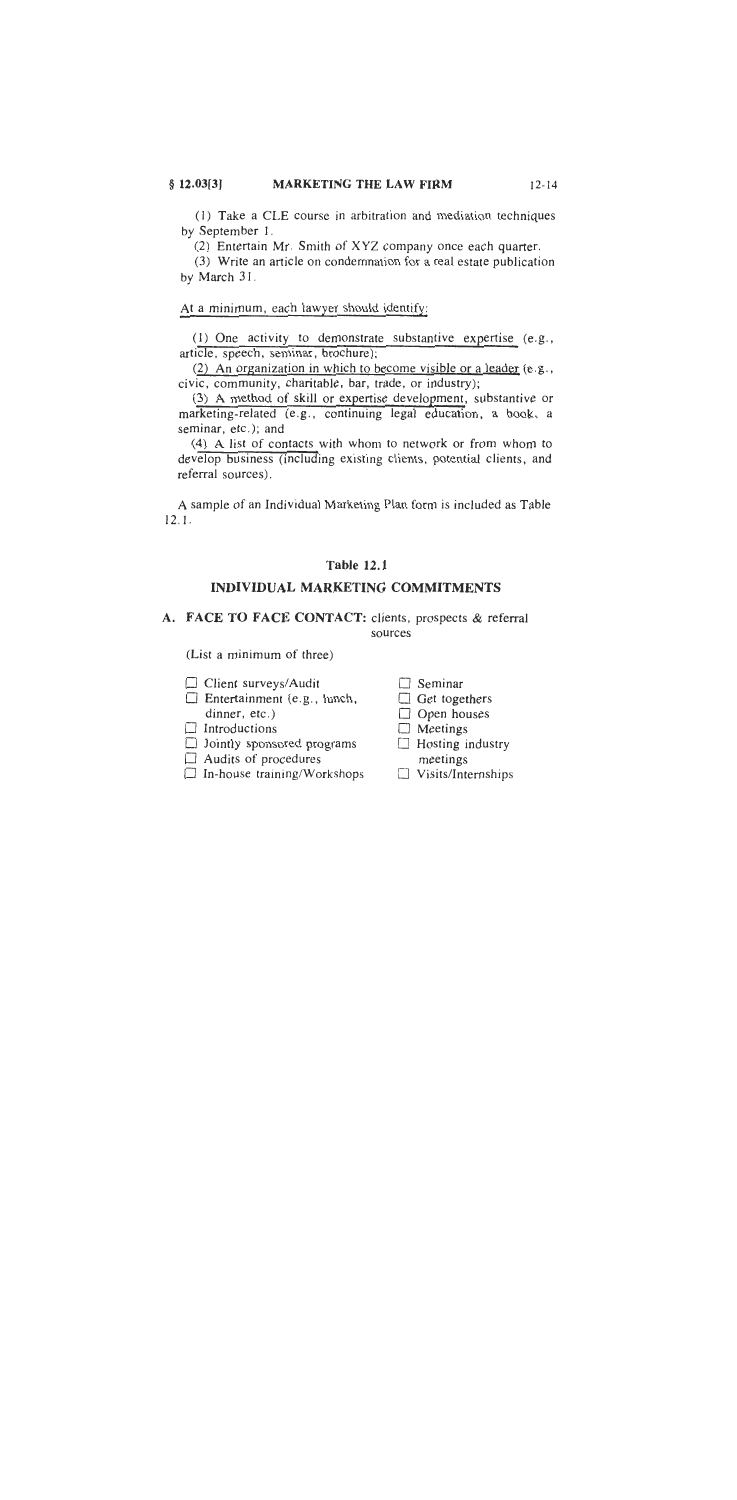#### $$12.03[3]$ **MARKETING THE LAW FIRM**

(1) Take a CLE course in arbitration and mediation techniques by September 1.

(2) Entertain Mr. Smith of XYZ company once each quarter.

(3) Write an article on condemnation for a real estate publication by March 31.

At a minimum, each lawyer should identify:

(1) One activity to demonstrate substantive expertise (e.g., article, speech, seminar, brochure);

(2) An organization in which to become visible or a leader (e.g., civic, community, charitable, bar, trade, or industry);

(3) A method of skill or expertise development, substantive or marketing-related (e.g., continuing legal education, a book, a seminar, etc.); and

(4) A list of contacts with whom to network or from whom to develop business (including existing clients, potential clients, and referral sources).

A sample of an Individual Marketing Plan form is included as Table  $12.1.$ 

#### **Table 12.1**

#### **INDIVIDUAL MARKETING COMMITMENTS**

A. FACE TO FACE CONTACT: clients, prospects & referral sources

(List a minimum of three)

- $\Box$  Client surveys/Audit
- $\Box$  Entertainment (e.g., lunch, dinner, etc.)
- $\Box$  Introductions
- $\Box$  Jointly sponsored programs
- $\Box$  Audits of procedures
- $\Box$  In-house training/Workshops

 $\Box$  Seminar

- $\Box$  Get togethers
- $\Box$  Open houses
- $\Box$  Meetings
- $\Box$  Hosting industry meetings
- $\Box$  Visits/Internships

 $12 - 14$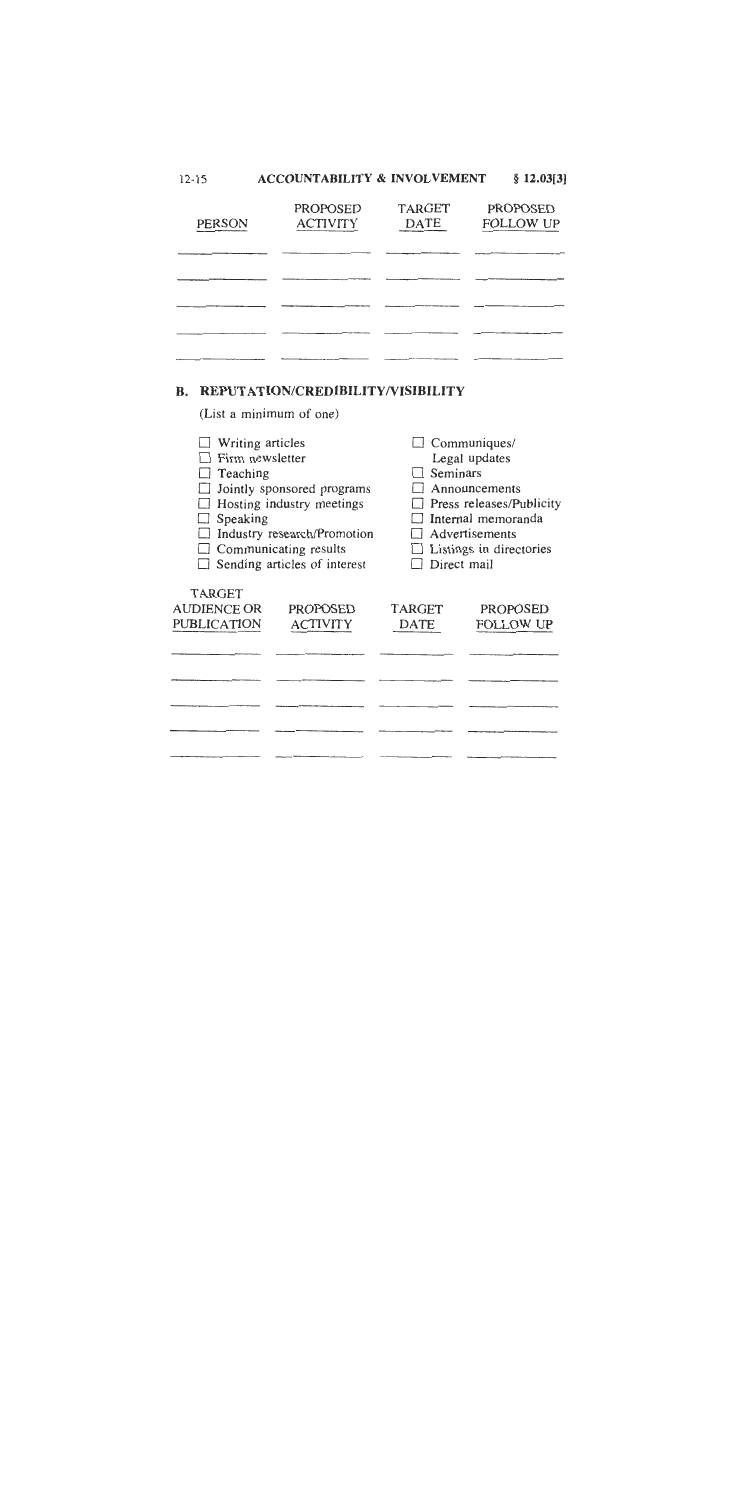| $12 - 15$     | <b>ACCOUNTABILITY &amp; INVOLVEMENT</b> |                              | $§$ 12.03[3]                        |
|---------------|-----------------------------------------|------------------------------|-------------------------------------|
| <b>PERSON</b> | <b>PROPOSED</b><br><b>ACTIVITY</b>      | <b>TARGET</b><br><b>DATE</b> | <b>PROPOSED</b><br><b>FOLLOW UP</b> |
|               |                                         |                              |                                     |
|               |                                         |                              |                                     |
|               |                                         |                              |                                     |
|               |                                         |                              |                                     |
|               |                                         |                              |                                     |

## **B. REPUTATION/CREDIBILITY/VISIBILITY**

(List a minimum of one)

| Writing articles             |                                     |               | Communiques/             |
|------------------------------|-------------------------------------|---------------|--------------------------|
| Firm newsletter              |                                     |               | Legal updates            |
| Teaching                     |                                     | Seminars      |                          |
|                              | Jointly sponsored programs          |               | Announcements            |
|                              | Hosting industry meetings           |               | Press releases/Publicity |
| Speaking                     |                                     |               | Internal memoranda       |
|                              | Industry research/Promotion         |               | Advertisements           |
| $\Box$ Communicating results |                                     |               | Listings in directories  |
|                              | $\Box$ Sending articles of interest |               | Direct mail              |
|                              |                                     |               |                          |
| TARGET                       |                                     |               |                          |
| <b>AUDIENCE OR</b>           | <b>PROPOSED</b>                     | <b>TARGET</b> | <b>PROPOSED</b>          |
| <b>PUBLICATION</b>           | <b>ACTIVITY</b>                     | DATE          | FOLLOW UP                |
|                              |                                     |               |                          |
|                              |                                     |               |                          |
|                              |                                     |               |                          |
|                              |                                     |               |                          |
|                              |                                     |               |                          |
|                              |                                     |               |                          |
|                              |                                     |               |                          |
|                              |                                     |               |                          |
|                              |                                     |               |                          |
|                              |                                     |               |                          |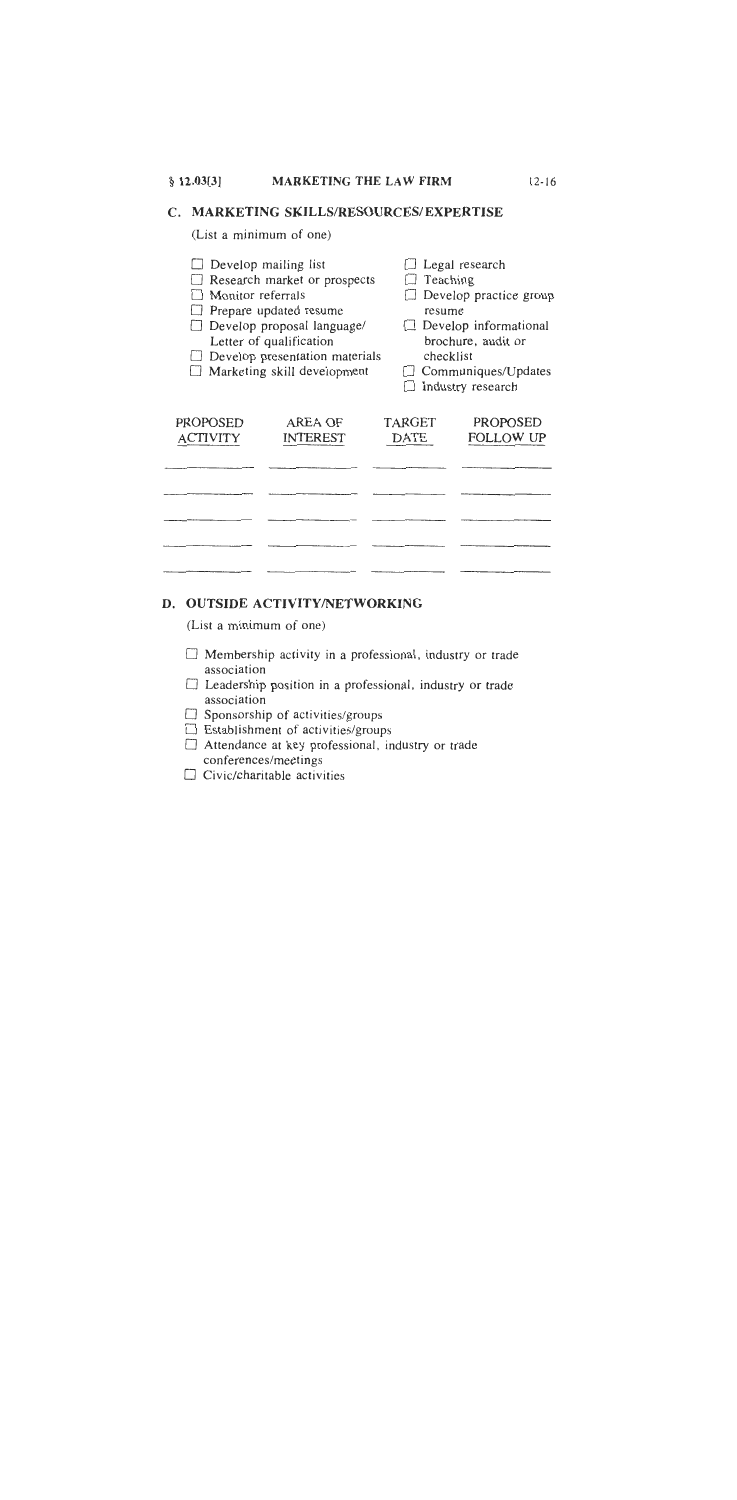C. MARKETING SKILLS/RESOURCES/EXPERTISE

(List a minimum of one)

| Monitor referrals    | Develop mailing list<br>Research market or prospects<br>Prepare updated resume<br>Develop proposal language/<br>Letter of qualification<br>Develop presentation materials<br>Marketing skill development | Teaching<br>resume<br>checklist | Legal research<br>Develop practice group<br>Develop informational<br>brochure, audit or<br>Communiques/Updates<br>Industry research |
|----------------------|----------------------------------------------------------------------------------------------------------------------------------------------------------------------------------------------------------|---------------------------------|-------------------------------------------------------------------------------------------------------------------------------------|
| PROPOSED<br>ACTIVITY | AREA OF<br>INTEREST                                                                                                                                                                                      | TARGET<br>DATE                  | PROPOSED<br>FOLLOW UP                                                                                                               |
|                      |                                                                                                                                                                                                          |                                 |                                                                                                                                     |
|                      |                                                                                                                                                                                                          |                                 |                                                                                                                                     |
|                      |                                                                                                                                                                                                          |                                 |                                                                                                                                     |
|                      |                                                                                                                                                                                                          |                                 |                                                                                                                                     |
|                      |                                                                                                                                                                                                          |                                 |                                                                                                                                     |

## D. OUTSIDE ACTIVITY/NETWORKING

(List a minimum of one)

- $\Box$  Membership activity in a professional, industry or trade association
- □ Leadership position in a professional, industry or trade association
- $\Box$  Sponsorship of activities/groups
- $\Box$  Establishment of activities/groups
- Attendance at key professional, industry or trade conferences/meetings
- $\Box$  Civic/charitable activities

 $12 - 16$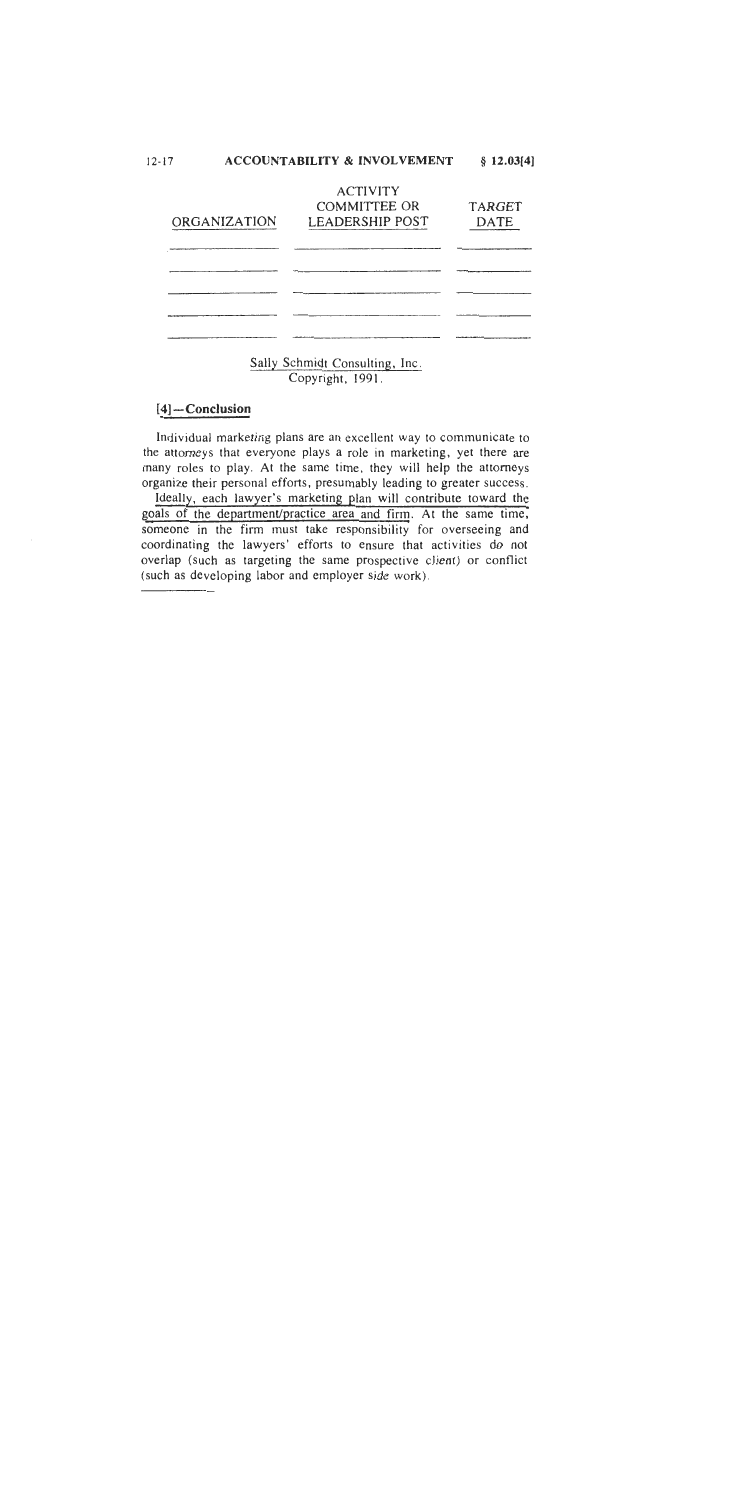| ACCOUNTABILITY & INVOLVEMENT<br>12-17 | $§$ 12.03[4] |
|---------------------------------------|--------------|
|---------------------------------------|--------------|

| ORGANIZATION | <b>ACTIVITY</b><br><b>COMMITTEE OR</b><br><b>LEADERSHIP POST</b> | <b>TARGET</b><br>DATE |
|--------------|------------------------------------------------------------------|-----------------------|
|              |                                                                  |                       |
|              |                                                                  |                       |
|              |                                                                  |                       |
|              |                                                                  |                       |

Sally Schmidt Consulting, Inc. Copyright, 1991.

## $[4]$ -Conclusion

Individual marketing plans are an excellent way to communicate to the attorneys that everyone plays a role in marketing, yet there are many roles to play. At the same time, they will help the attorneys organize their personal efforts, presumably leading to greater success. Ideally, each lawyer's marketing plan will contribute toward the goals of the department/practice area and firm. At the same time, someone in the firm must take responsibility for overseeing and coordinating the lawyers' efforts to ensure that activities do not overlap (such as targeting the same prospective client) or conflict (such as developing labor and employer side work).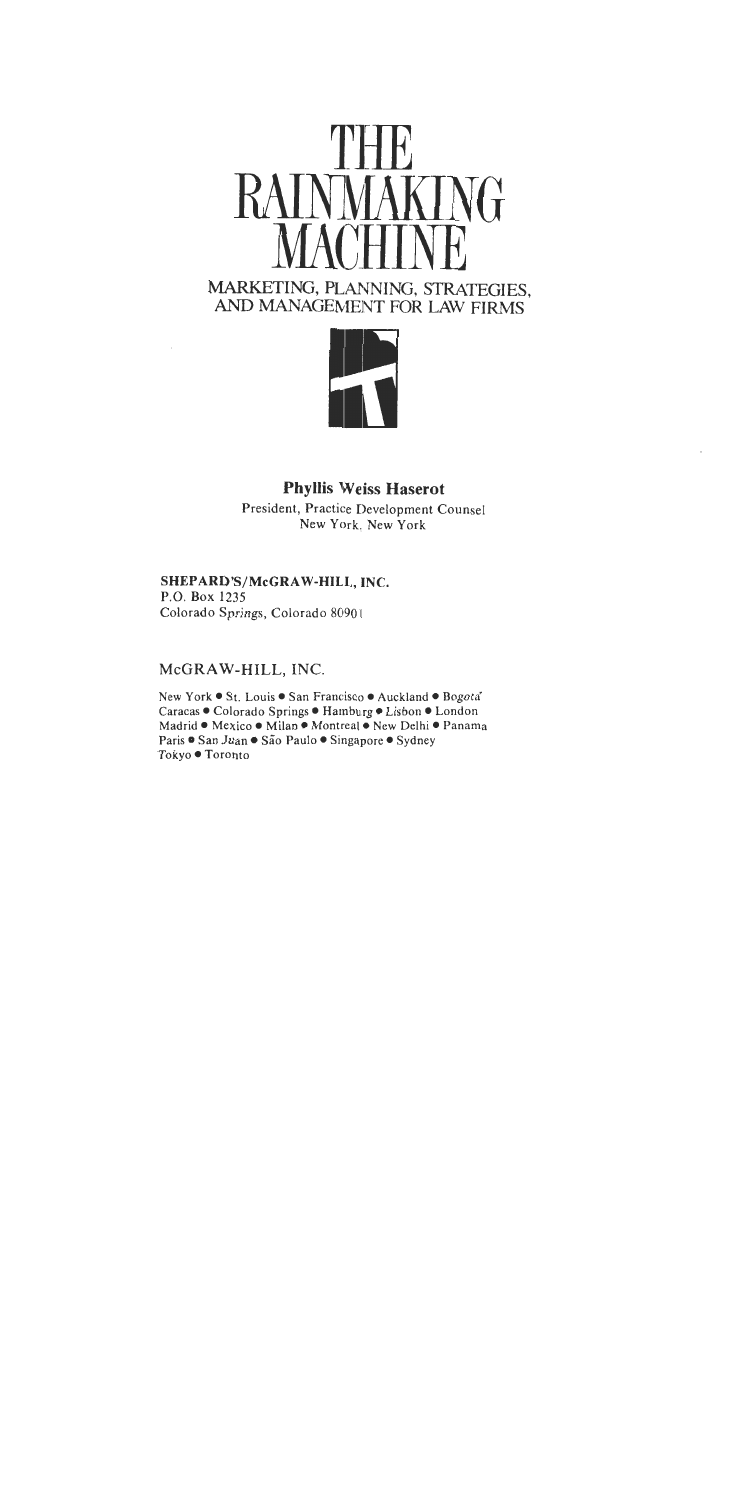



## **Phyllis Weiss Haserot**

President, Practice Development Counsel New York. New York

## SHEPARD'S/McGRAW-HILL, INC.

P.O. Box 1235 Colorado Springs, Colorado 80901

## McGRAW-HILL, INC.

New York . Louis . San Francisco . Auckland . Bogota Caracas . Colorado Springs . Hamburg . Lisbon . London Madrid . Mexico . Milan . Montreal . New Delhi . Panama Paris • San Juan • São Paulo • Singapore • Sydney Tokyo ● Toronto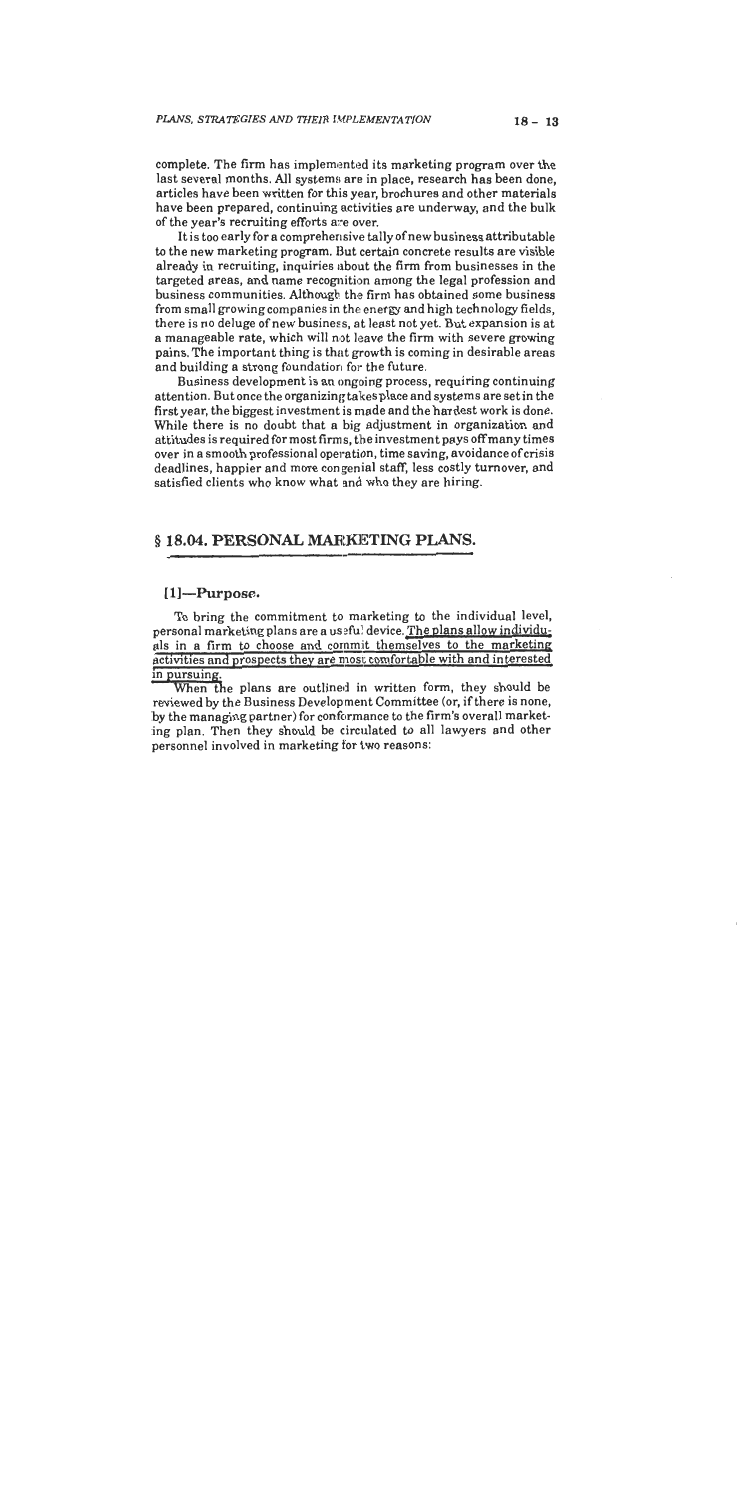complete. The firm has implemented its marketing program over the last several months. All systems are in place, research has been done, articles have been written for this year, brochures and other materials have been prepared, continuing activities are underway, and the bulk of the year's recruiting efforts are over.

It is too early for a comprehensive tally of new business attributable to the new marketing program. But certain concrete results are visible already in recruiting, inquiries about the firm from businesses in the targeted areas, and name recognition among the legal profession and business communities. Although the firm has obtained some business from small growing companies in the energy and high technology fields, there is no deluge of new business, at least not yet. But expansion is at a manageable rate, which will not leave the firm with severe growing pains. The important thing is that growth is coming in desirable areas and building a strong foundation for the future.

Business development is an ongoing process, requiring continuing attention. But once the organizing takes place and systems are set in the first year, the biggest investment is made and the hardest work is done. While there is no doubt that a big adjustment in organization and attitudes is required for most firms, the investment pays off many times over in a smooth professional operation, time saving, avoidance of crisis deadlines, happier and more congenial staff, less costly turnover, and satisfied clients who know what and who they are hiring.

### § 18.04. PERSONAL MARKETING PLANS.

#### $[1]$ -Purpose.

To bring the commitment to marketing to the individual level, personal marketing plans are a useful device. The plans allow individuals in a firm to choose and commit themselves to the marketing activities and prospects they are most comfortable with and interested in pursuing.

When the plans are outlined in written form, they should be reviewed by the Business Development Committee (or, if there is none, by the managing partner) for conformance to the firm's overall marketing plan. Then they should be circulated to all lawyers and other personnel involved in marketing for two reasons: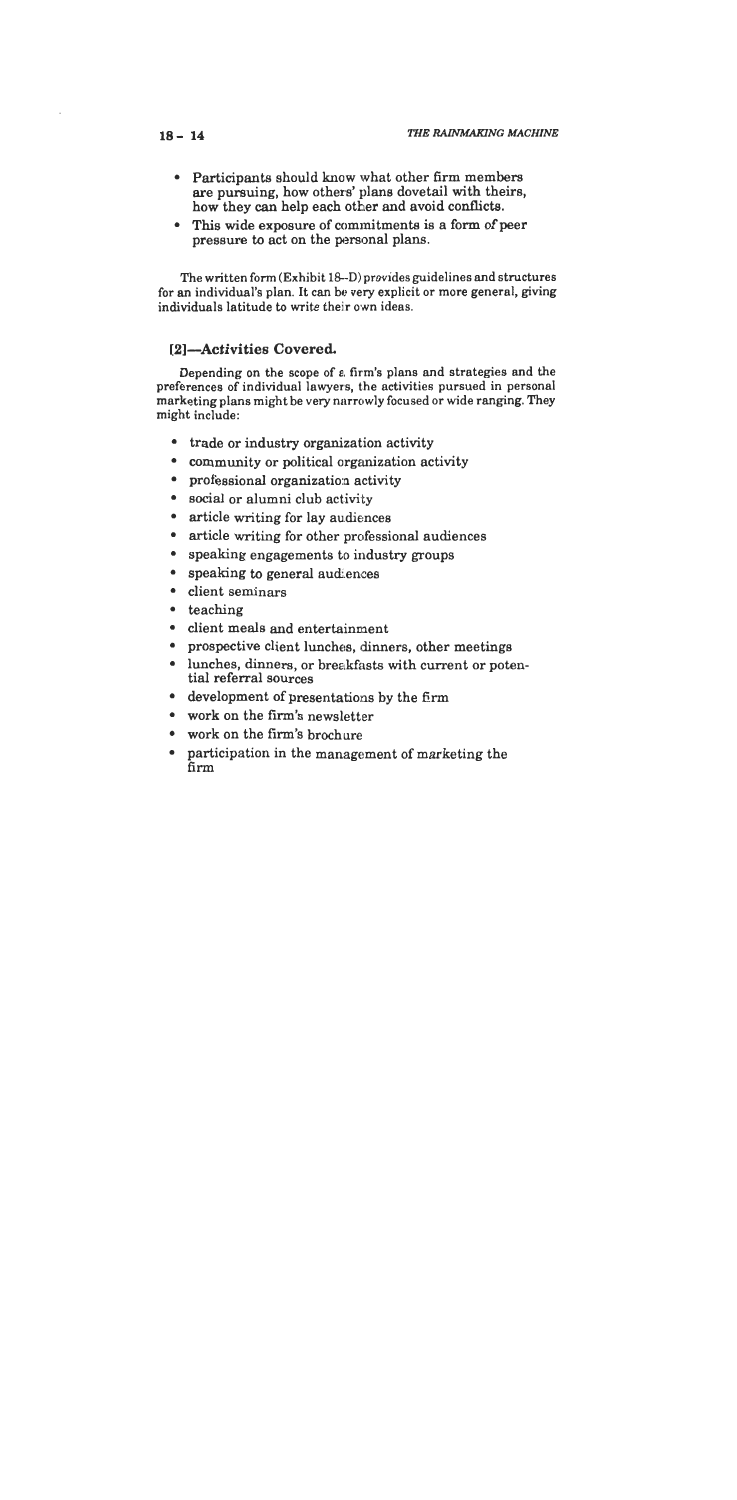- Participants should know what other firm members are pursuing, how others' plans dovetail with theirs, how they can help each other and avoid conflicts.
- This wide exposure of commitments is a form of peer pressure to act on the personal plans.

The written form (Exhibit 18-D) provides guidelines and structures for an individual's plan. It can be very explicit or more general, giving individuals latitude to write their own ideas.

### [2]-Activities Covered.

Depending on the scope of a firm's plans and strategies and the preferences of individual lawyers, the activities pursued in personal marketing plans might be very narrowly focused or wide ranging. They might include:

- trade or industry organization activity
- community or political organization activity
- professional organization activity
- social or alumni club activity
- article writing for lay audiences
- article writing for other professional audiences
- speaking engagements to industry groups
- speaking to general audiences
- client seminars
- $\bullet$  teaching
- · client meals and entertainment
- prospective client lunches, dinners, other meetings
- lunches. dinners, or breakfasts with current or potential referral sources
- development of presentations by the firm
- work on the firm's newsletter
- work on the firm's brochure
- participation in the management of marketing the firm

#### $18 - 14$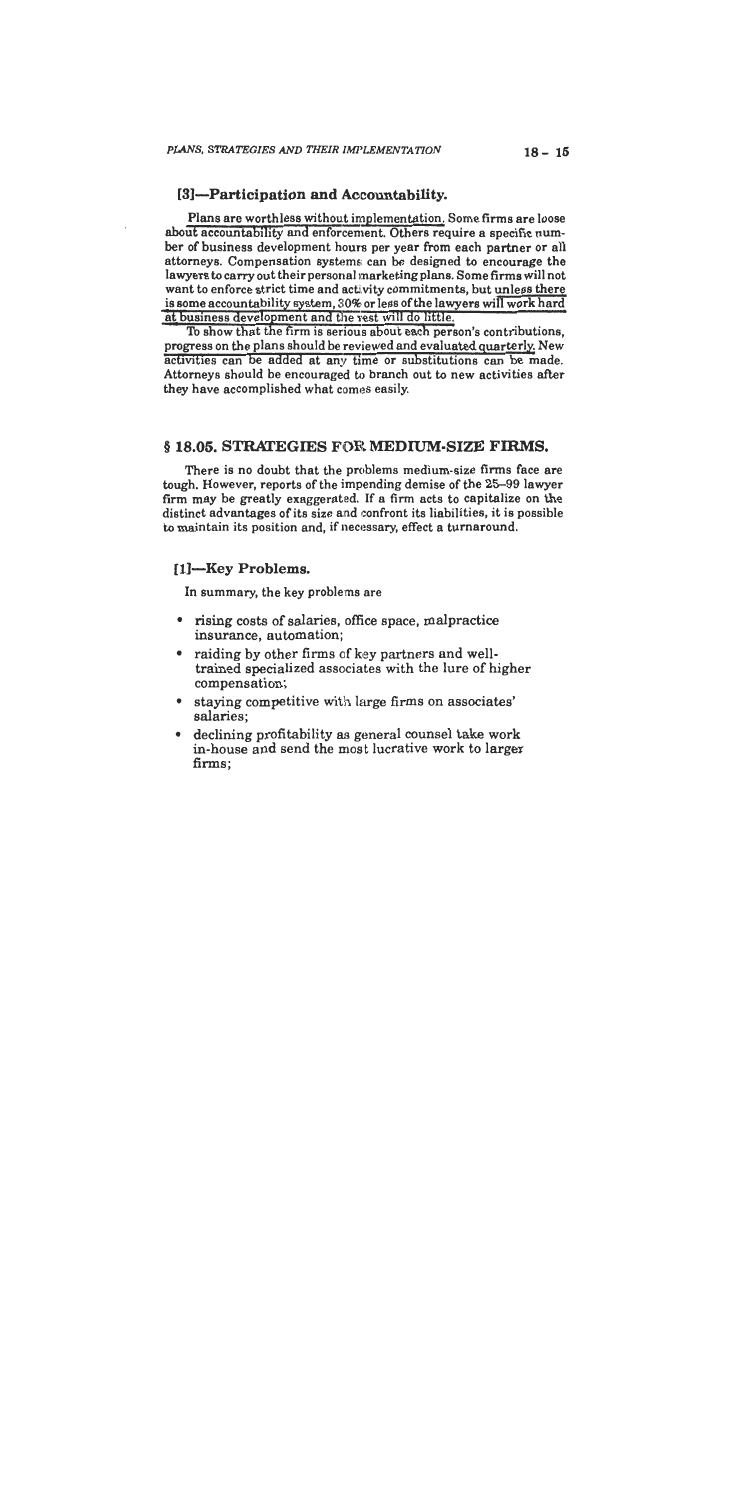#### [3]-Participation and Accountability.

Plans are worthless without implementation. Some firms are loose about accountability and enforcement. Others require a specific number of business development hours per year from each partner or all attorneys. Compensation systems can be designed to encourage the lawyers to carry out their personal marketing plans. Some firms will not want to enforce strict time and activity commitments, but unless there is some accountability system, 30% or less of the lawyers will work hard at business development and the rest will do little.

To show that the firm is serious about each person's contributions, progress on the plans should be reviewed and evaluated quarterly. New activities can be added at any time or substitutions can be made. Attorneys should be encouraged to branch out to new activities after they have accomplished what comes easily.

#### § 18.05. STRATEGIES FOR MEDIUM-SIZE FIRMS.

There is no doubt that the problems medium-size firms face are tough. However, reports of the impending demise of the 25-99 lawyer firm may be greatly exaggerated. If a firm acts to capitalize on the distinct advantages of its size and confront its liabilities, it is possible to maintain its position and, if necessary, effect a turnaround.

#### [1]-Key Problems.

In summary, the key problems are

- rising costs of salaries, office space, malpractice insurance, automation;
- raiding by other firms of key partners and welltrained specialized associates with the lure of higher compensation;
- staying competitive with large firms on associates' salaries;
- declining profitability as general counsel take work in-house and send the most lucrative work to larger firms;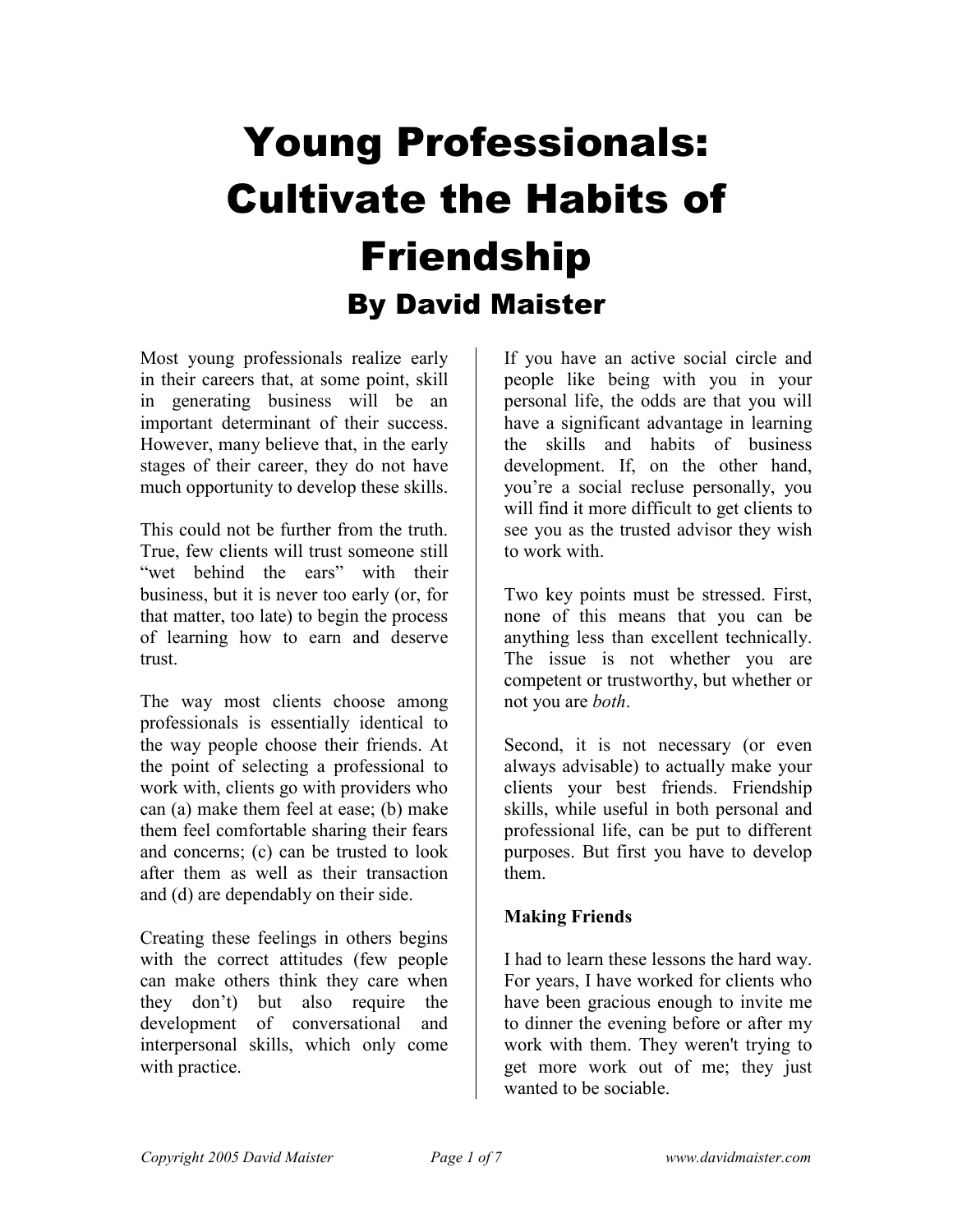## Young Professionals: Cultivate the Habits of Friendship By David Maister

Most young professionals realize early in their careers that, at some point, skill in generating business will be an important determinant of their success. However, many believe that, in the early stages of their career, they do not have much opportunity to develop these skills.

This could not be further from the truth. True, few clients will trust someone still "wet behind the ears" with their business, but it is never too early (or, for that matter, too late) to begin the process of learning how to earn and deserve trust.

The way most clients choose among professionals is essentially identical to the way people choose their friends. At the point of selecting a professional to work with, clients go with providers who can (a) make them feel at ease; (b) make them feel comfortable sharing their fears and concerns; (c) can be trusted to look after them as well as their transaction and (d) are dependably on their side.

Creating these feelings in others begins with the correct attitudes (few people can make others think they care when they don't) but also require the development of conversational and interpersonal skills, which only come with practice.

If you have an active social circle and people like being with you in your personal life, the odds are that you will have a significant advantage in learning the skills and habits of business development. If, on the other hand, you're a social recluse personally, you will find it more difficult to get clients to see you as the trusted advisor they wish to work with.

Two key points must be stressed. First, none of this means that you can be anything less than excellent technically. The issue is not whether you are competent or trustworthy, but whether or not you are both.

Second, it is not necessary (or even always advisable) to actually make your clients your best friends. Friendship skills, while useful in both personal and professional life, can be put to different purposes. But first you have to develop them.

## Making Friends

I had to learn these lessons the hard way. For years, I have worked for clients who have been gracious enough to invite me to dinner the evening before or after my work with them. They weren't trying to get more work out of me; they just wanted to be sociable.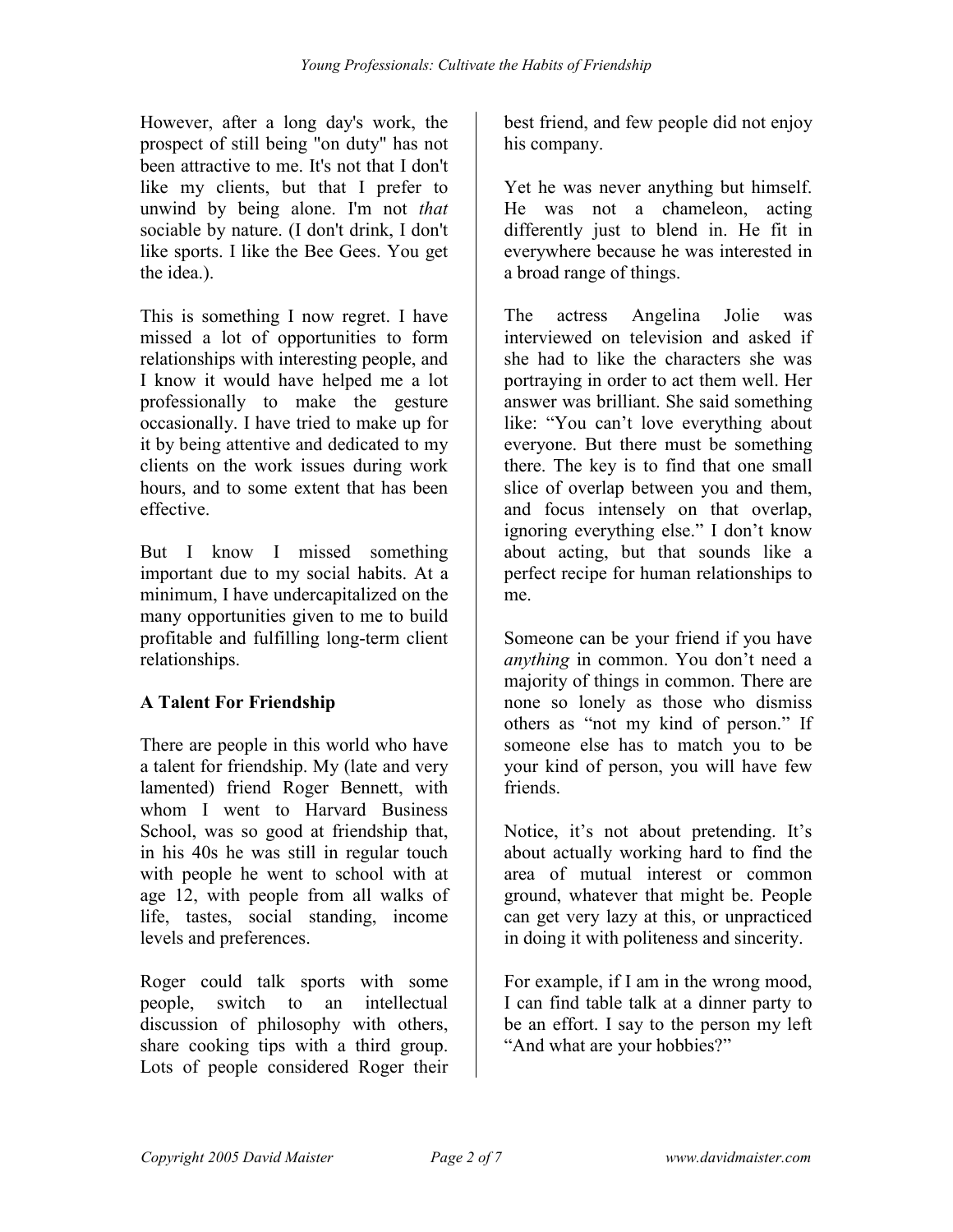However, after a long day's work, the prospect of still being "on duty" has not been attractive to me. It's not that I don't like my clients, but that I prefer to unwind by being alone. I'm not that sociable by nature. (I don't drink, I don't like sports. I like the Bee Gees. You get the idea.).

This is something I now regret. I have missed a lot of opportunities to form relationships with interesting people, and I know it would have helped me a lot professionally to make the gesture occasionally. I have tried to make up for it by being attentive and dedicated to my clients on the work issues during work hours, and to some extent that has been effective.

But I know I missed something important due to my social habits. At a minimum, I have undercapitalized on the many opportunities given to me to build profitable and fulfilling long-term client relationships.

## A Talent For Friendship

There are people in this world who have a talent for friendship. My (late and very lamented) friend Roger Bennett, with whom I went to Harvard Business School, was so good at friendship that, in his 40s he was still in regular touch with people he went to school with at age 12, with people from all walks of life, tastes, social standing, income levels and preferences.

Roger could talk sports with some people, switch to an intellectual discussion of philosophy with others, share cooking tips with a third group. Lots of people considered Roger their

best friend, and few people did not enjoy his company.

Yet he was never anything but himself. He was not a chameleon, acting differently just to blend in. He fit in everywhere because he was interested in a broad range of things.

The actress Angelina Jolie was interviewed on television and asked if she had to like the characters she was portraying in order to act them well. Her answer was brilliant. She said something like: "You can't love everything about everyone. But there must be something there. The key is to find that one small slice of overlap between you and them, and focus intensely on that overlap, ignoring everything else." I don't know about acting, but that sounds like a perfect recipe for human relationships to me.

Someone can be your friend if you have anything in common. You don't need a majority of things in common. There are none so lonely as those who dismiss others as "not my kind of person." If someone else has to match you to be your kind of person, you will have few friends.

Notice, it's not about pretending. It's about actually working hard to find the area of mutual interest or common ground, whatever that might be. People can get very lazy at this, or unpracticed in doing it with politeness and sincerity.

For example, if I am in the wrong mood, I can find table talk at a dinner party to be an effort. I say to the person my left "And what are your hobbies?"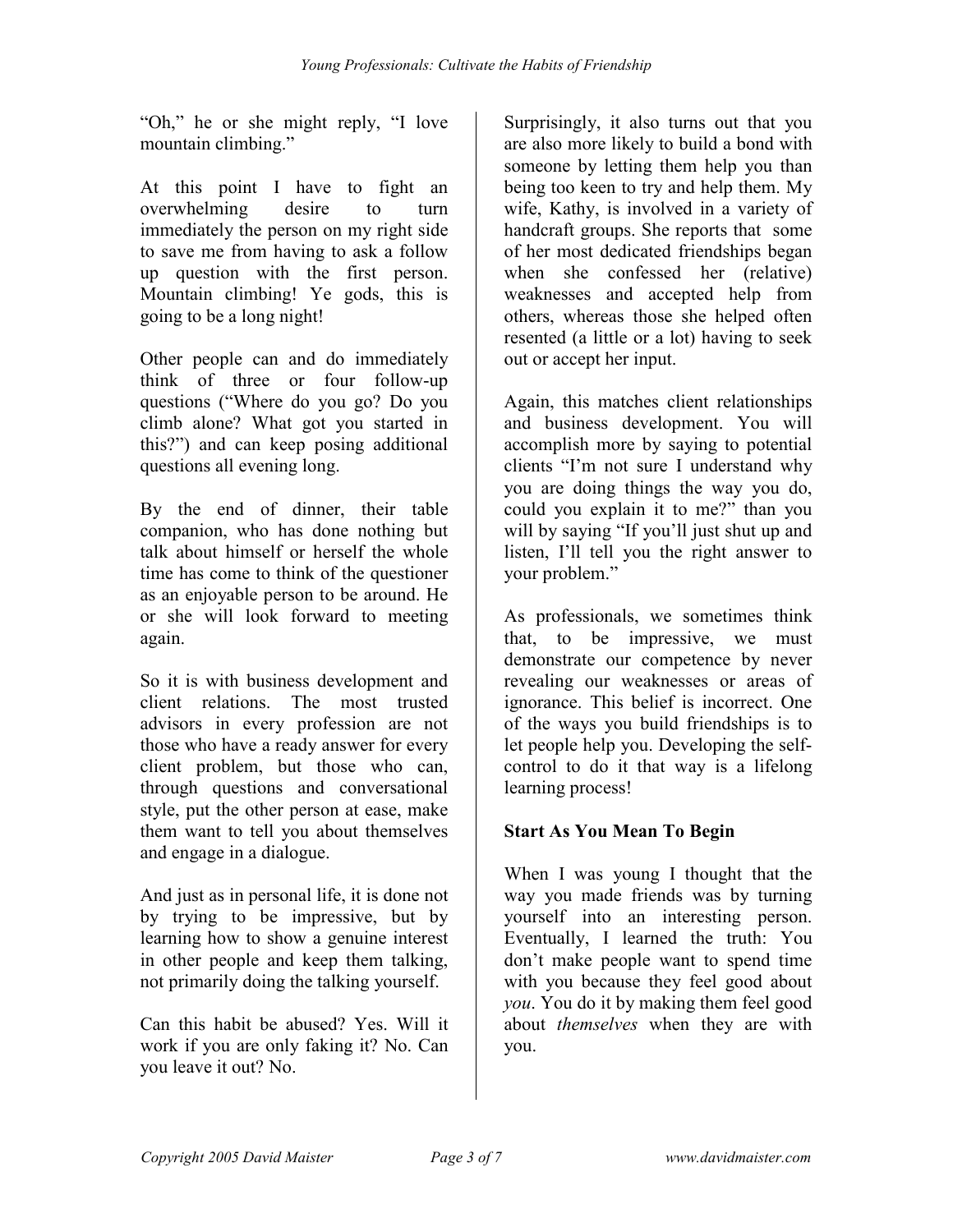"Oh," he or she might reply, "I love mountain climbing."

At this point I have to fight an overwhelming desire to turn immediately the person on my right side to save me from having to ask a follow up question with the first person. Mountain climbing! Ye gods, this is going to be a long night!

Other people can and do immediately think of three or four follow-up questions ("Where do you go? Do you climb alone? What got you started in this?") and can keep posing additional questions all evening long.

By the end of dinner, their table companion, who has done nothing but talk about himself or herself the whole time has come to think of the questioner as an enjoyable person to be around. He or she will look forward to meeting again.

So it is with business development and client relations. The most trusted advisors in every profession are not those who have a ready answer for every client problem, but those who can, through questions and conversational style, put the other person at ease, make them want to tell you about themselves and engage in a dialogue.

And just as in personal life, it is done not by trying to be impressive, but by learning how to show a genuine interest in other people and keep them talking, not primarily doing the talking yourself.

Can this habit be abused? Yes. Will it work if you are only faking it? No. Can you leave it out? No.

Surprisingly, it also turns out that you are also more likely to build a bond with someone by letting them help you than being too keen to try and help them. My wife, Kathy, is involved in a variety of handcraft groups. She reports that some of her most dedicated friendships began when she confessed her (relative) weaknesses and accepted help from others, whereas those she helped often resented (a little or a lot) having to seek out or accept her input.

Again, this matches client relationships and business development. You will accomplish more by saying to potential clients "I'm not sure I understand why you are doing things the way you do, could you explain it to me?" than you will by saying "If you'll just shut up and listen, I'll tell you the right answer to your problem."

As professionals, we sometimes think that, to be impressive, we must demonstrate our competence by never revealing our weaknesses or areas of ignorance. This belief is incorrect. One of the ways you build friendships is to let people help you. Developing the selfcontrol to do it that way is a lifelong learning process!

## Start As You Mean To Begin

When I was young I thought that the way you made friends was by turning yourself into an interesting person. Eventually, I learned the truth: You don't make people want to spend time with you because they feel good about you. You do it by making them feel good about themselves when they are with you.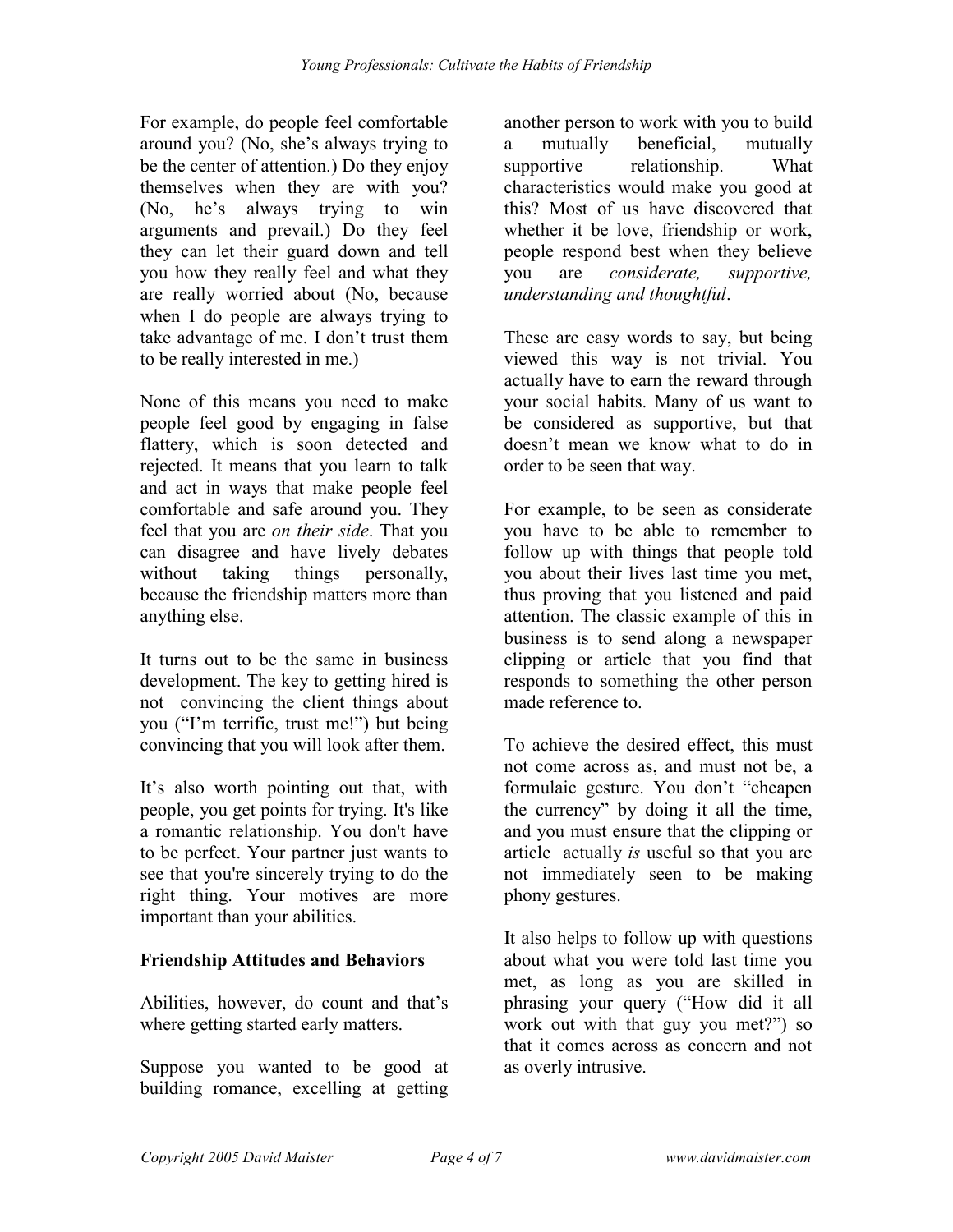For example, do people feel comfortable around you? (No, she's always trying to be the center of attention.) Do they enjoy themselves when they are with you? (No, he's always trying to win arguments and prevail.) Do they feel they can let their guard down and tell you how they really feel and what they are really worried about (No, because when I do people are always trying to take advantage of me. I don't trust them to be really interested in me.)

None of this means you need to make people feel good by engaging in false flattery, which is soon detected and rejected. It means that you learn to talk and act in ways that make people feel comfortable and safe around you. They feel that you are on their side. That you can disagree and have lively debates without taking things personally, because the friendship matters more than anything else.

It turns out to be the same in business development. The key to getting hired is not convincing the client things about you ("I'm terrific, trust me!") but being convincing that you will look after them.

It's also worth pointing out that, with people, you get points for trying. It's like a romantic relationship. You don't have to be perfect. Your partner just wants to see that you're sincerely trying to do the right thing. Your motives are more important than your abilities.

## Friendship Attitudes and Behaviors

Abilities, however, do count and that's where getting started early matters.

Suppose you wanted to be good at building romance, excelling at getting another person to work with you to build a mutually beneficial, mutually supportive relationship. What characteristics would make you good at this? Most of us have discovered that whether it be love, friendship or work, people respond best when they believe you are considerate, supportive, understanding and thoughtful.

These are easy words to say, but being viewed this way is not trivial. You actually have to earn the reward through your social habits. Many of us want to be considered as supportive, but that doesn't mean we know what to do in order to be seen that way.

For example, to be seen as considerate you have to be able to remember to follow up with things that people told you about their lives last time you met, thus proving that you listened and paid attention. The classic example of this in business is to send along a newspaper clipping or article that you find that responds to something the other person made reference to.

To achieve the desired effect, this must not come across as, and must not be, a formulaic gesture. You don't "cheapen the currency" by doing it all the time, and you must ensure that the clipping or article actually is useful so that you are not immediately seen to be making phony gestures.

It also helps to follow up with questions about what you were told last time you met, as long as you are skilled in phrasing your query ("How did it all work out with that guy you met?") so that it comes across as concern and not as overly intrusive.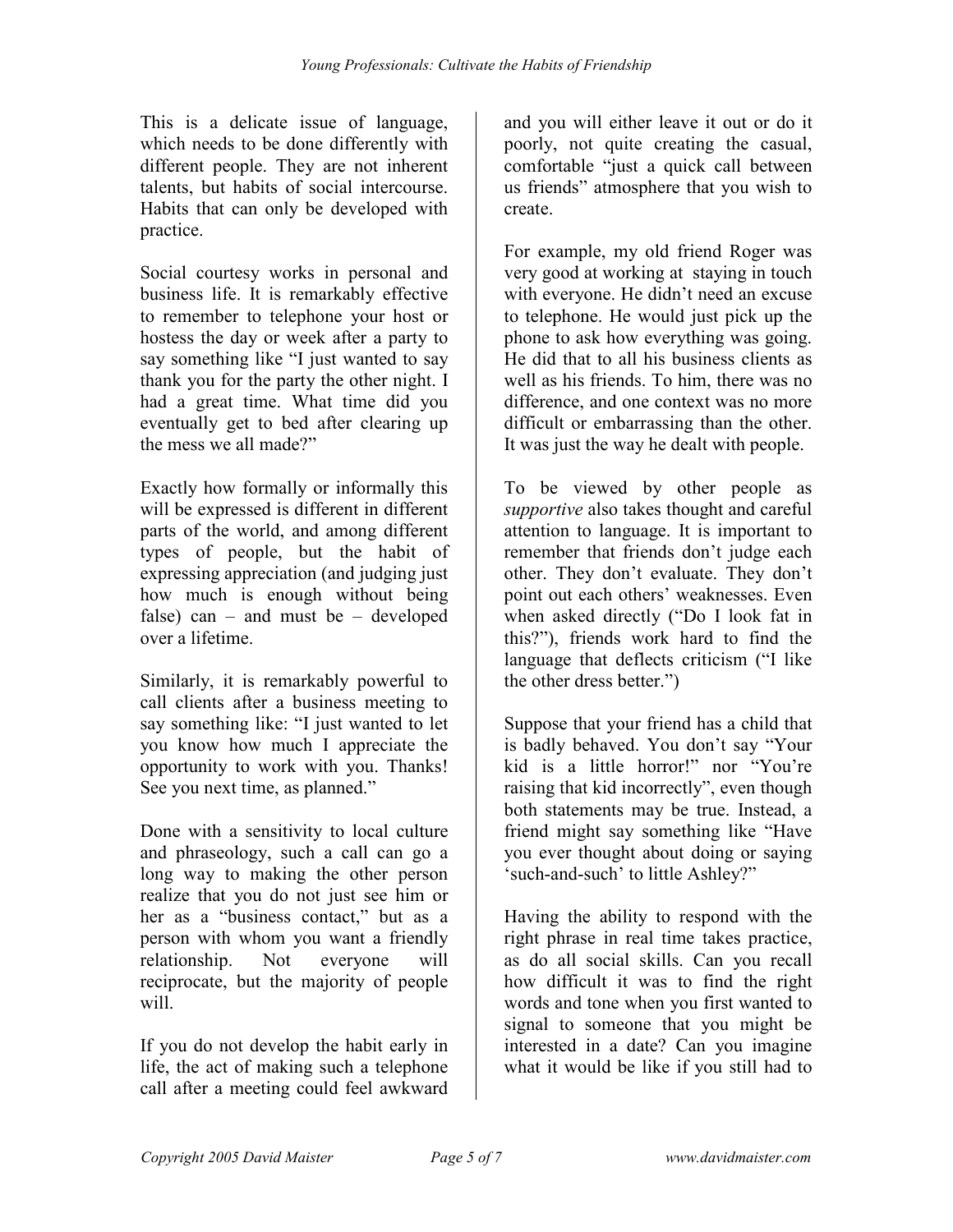This is a delicate issue of language, which needs to be done differently with different people. They are not inherent talents, but habits of social intercourse. Habits that can only be developed with practice.

Social courtesy works in personal and business life. It is remarkably effective to remember to telephone your host or hostess the day or week after a party to say something like "I just wanted to say thank you for the party the other night. I had a great time. What time did you eventually get to bed after clearing up the mess we all made?"

Exactly how formally or informally this will be expressed is different in different parts of the world, and among different types of people, but the habit of expressing appreciation (and judging just how much is enough without being false) can – and must be – developed over a lifetime.

Similarly, it is remarkably powerful to call clients after a business meeting to say something like: "I just wanted to let you know how much I appreciate the opportunity to work with you. Thanks! See you next time, as planned."

Done with a sensitivity to local culture and phraseology, such a call can go a long way to making the other person realize that you do not just see him or her as a "business contact," but as a person with whom you want a friendly relationship. Not everyone will reciprocate, but the majority of people will.

If you do not develop the habit early in life, the act of making such a telephone call after a meeting could feel awkward

and you will either leave it out or do it poorly, not quite creating the casual, comfortable "just a quick call between us friends" atmosphere that you wish to create.

For example, my old friend Roger was very good at working at staying in touch with everyone. He didn't need an excuse to telephone. He would just pick up the phone to ask how everything was going. He did that to all his business clients as well as his friends. To him, there was no difference, and one context was no more difficult or embarrassing than the other. It was just the way he dealt with people.

To be viewed by other people as supportive also takes thought and careful attention to language. It is important to remember that friends don't judge each other. They don't evaluate. They don't point out each others' weaknesses. Even when asked directly ("Do I look fat in this?"), friends work hard to find the language that deflects criticism ("I like the other dress better.")

Suppose that your friend has a child that is badly behaved. You don't say "Your kid is a little horror!" nor "You're raising that kid incorrectly", even though both statements may be true. Instead, a friend might say something like "Have you ever thought about doing or saying 'such-and-such' to little Ashley?"

Having the ability to respond with the right phrase in real time takes practice, as do all social skills. Can you recall how difficult it was to find the right words and tone when you first wanted to signal to someone that you might be interested in a date? Can you imagine what it would be like if you still had to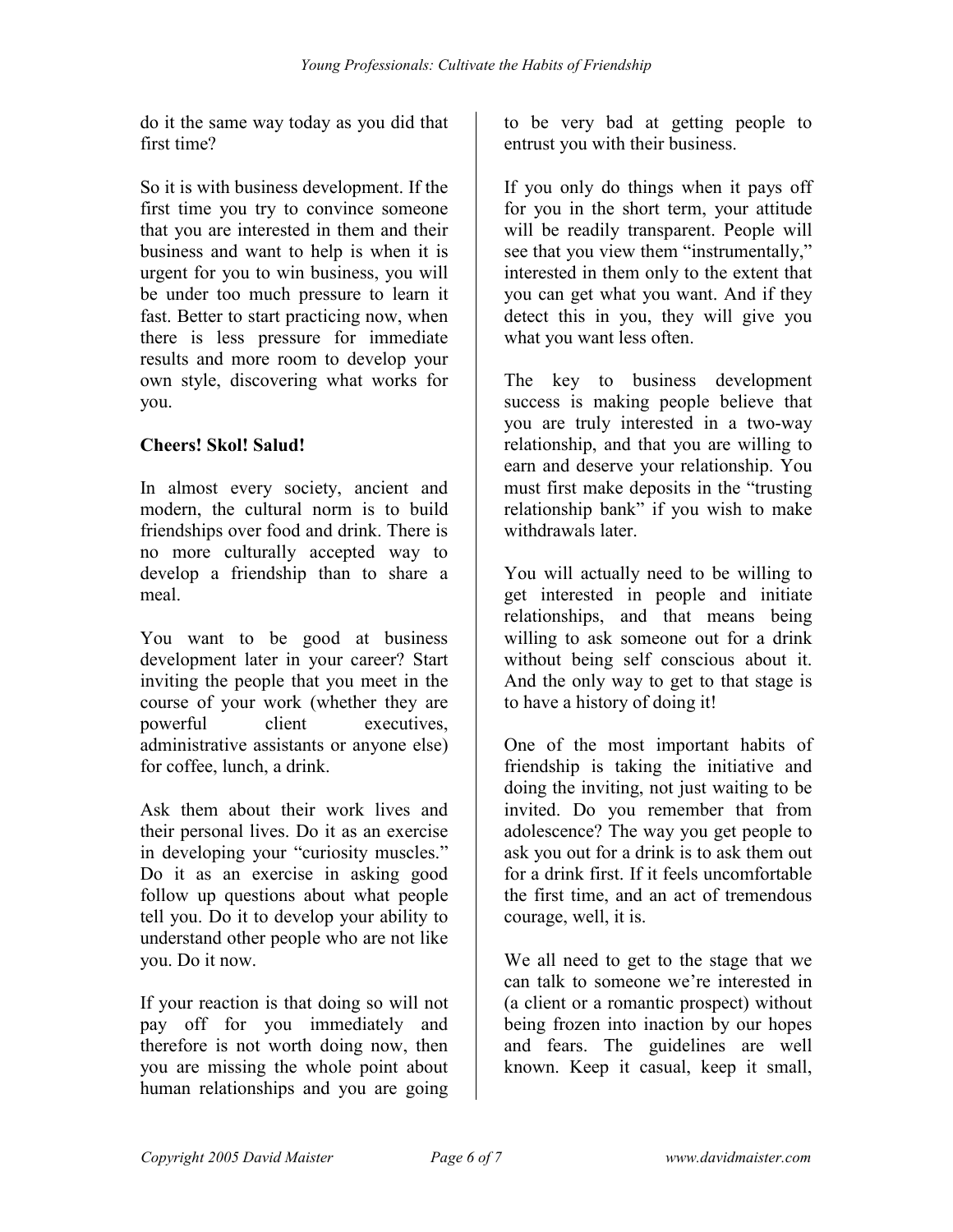do it the same way today as you did that first time?

So it is with business development. If the first time you try to convince someone that you are interested in them and their business and want to help is when it is urgent for you to win business, you will be under too much pressure to learn it fast. Better to start practicing now, when there is less pressure for immediate results and more room to develop your own style, discovering what works for you.

## Cheers! Skol! Salud!

In almost every society, ancient and modern, the cultural norm is to build friendships over food and drink. There is no more culturally accepted way to develop a friendship than to share a meal.

You want to be good at business development later in your career? Start inviting the people that you meet in the course of your work (whether they are powerful client executives, administrative assistants or anyone else) for coffee, lunch, a drink.

Ask them about their work lives and their personal lives. Do it as an exercise in developing your "curiosity muscles." Do it as an exercise in asking good follow up questions about what people tell you. Do it to develop your ability to understand other people who are not like you. Do it now.

If your reaction is that doing so will not pay off for you immediately and therefore is not worth doing now, then you are missing the whole point about human relationships and you are going

to be very bad at getting people to entrust you with their business.

If you only do things when it pays off for you in the short term, your attitude will be readily transparent. People will see that you view them "instrumentally," interested in them only to the extent that you can get what you want. And if they detect this in you, they will give you what you want less often.

The key to business development success is making people believe that you are truly interested in a two-way relationship, and that you are willing to earn and deserve your relationship. You must first make deposits in the "trusting relationship bank" if you wish to make withdrawals later

You will actually need to be willing to get interested in people and initiate relationships, and that means being willing to ask someone out for a drink without being self conscious about it. And the only way to get to that stage is to have a history of doing it!

One of the most important habits of friendship is taking the initiative and doing the inviting, not just waiting to be invited. Do you remember that from adolescence? The way you get people to ask you out for a drink is to ask them out for a drink first. If it feels uncomfortable the first time, and an act of tremendous courage, well, it is.

We all need to get to the stage that we can talk to someone we're interested in (a client or a romantic prospect) without being frozen into inaction by our hopes and fears. The guidelines are well known. Keep it casual, keep it small,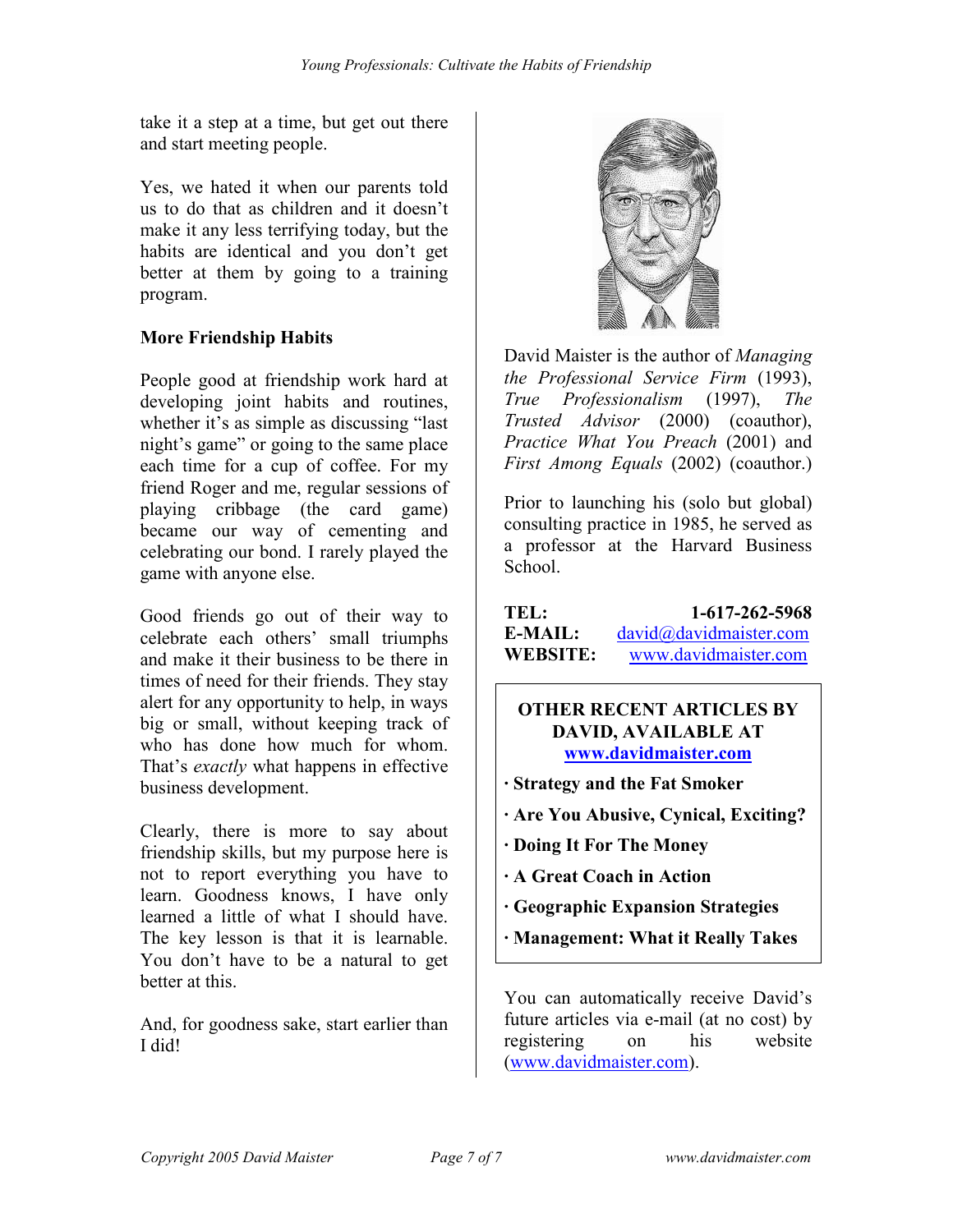take it a step at a time, but get out there and start meeting people.

Yes, we hated it when our parents told us to do that as children and it doesn't make it any less terrifying today, but the habits are identical and you don't get better at them by going to a training program.

## More Friendship Habits

People good at friendship work hard at developing joint habits and routines, whether it's as simple as discussing "last night's game" or going to the same place each time for a cup of coffee. For my friend Roger and me, regular sessions of playing cribbage (the card game) became our way of cementing and celebrating our bond. I rarely played the game with anyone else.

Good friends go out of their way to celebrate each others' small triumphs and make it their business to be there in times of need for their friends. They stay alert for any opportunity to help, in ways big or small, without keeping track of who has done how much for whom. That's *exactly* what happens in effective business development.

Clearly, there is more to say about friendship skills, but my purpose here is not to report everything you have to learn. Goodness knows, I have only learned a little of what I should have. The key lesson is that it is learnable. You don't have to be a natural to get better at this.

And, for goodness sake, start earlier than I did!



David Maister is the author of *Managing* the Professional Service Firm (1993), True Professionalism (1997), The Trusted Advisor (2000) (coauthor), Practice What You Preach (2001) and First Among Equals (2002) (coauthor.)

Prior to launching his (solo but global) consulting practice in 1985, he served as a professor at the Harvard Business School.

| TEL:            | 1-617-262-5968         |
|-----------------|------------------------|
| E-MAIL:         | david@davidmaister.com |
| <b>WEBSITE:</b> | www.davidmaister.com   |

## OTHER RECENT ARTICLES BY DAVID, AVAILABLE AT www.davidmaister.com

- · Strategy and the Fat Smoker
- · Are You Abusive, Cynical, Exciting?
- · Doing It For The Money
- · A Great Coach in Action
- · Geographic Expansion Strategies
- · Management: What it Really Takes

You can automatically receive David's future articles via e-mail (at no cost) by registering on his website (www.davidmaister.com).